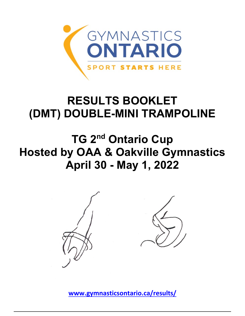

# **RESULTS BOOKLET (DMT) DOUBLE-MINI TRAMPOLINE**

**TG 2nd Ontario Cup Hosted by OAA & Oakville Gymnastics April 30 - May 1, 2022**



**[www.gymnasticsontario.ca/results/](https://www.gymnasticsontario.ca/results/)**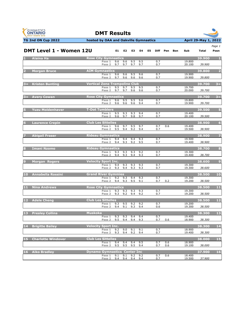



|  | Page 1 |  |
|--|--------|--|

|                 | DMT Level 1 - Women 12U   |                                      | E1         | E2                 | E3         | E4         | E5 | <b>Diff</b> | Pen        | <b>Bon</b> | Sub              | <b>Total</b> | Posn           |
|-----------------|---------------------------|--------------------------------------|------------|--------------------|------------|------------|----|-------------|------------|------------|------------------|--------------|----------------|
|                 | <b>Alaina Ha</b>          | <b>Rose City Gymnastics</b>          |            |                    |            |            |    |             |            |            |                  | 39.900       |                |
|                 |                           | Pass 1<br>Pass 2                     | 9.6<br>9.7 | 9.6<br>9.7         | 9.5<br>9.7 | 9.5<br>9.7 |    | 0.7<br>0.7  |            |            | 19.800<br>20.100 | 39.900       |                |
|                 | <b>Morgan Bruce</b>       | <b>AIM Gymnastics</b>                |            |                    |            |            |    |             |            |            |                  | 39.800       | $\overline{2}$ |
|                 |                           | Pass 1<br>Pass <sub>2</sub>          | 9.6<br>9.7 | 9.6<br>9.6         | 9.5<br>9.6 | 9.6<br>9.6 |    | 0.7<br>0.7  |            |            | 19.900<br>19.900 | 39.800       |                |
|                 | 3= Kristen Bunting        | <b>Vertical Zone Trampoline Club</b> |            |                    |            |            |    |             |            |            |                  | 39.700       | $3 =$          |
|                 |                           | Pass 1<br>Pass 2                     | 9.5<br>9.7 | 9.7<br>9.7         | 9.5<br>9.6 | 9.5<br>9.6 |    | 0.7<br>0.7  |            |            | 19.700<br>20.000 | 39.700       |                |
| $3 = 1$         | <b>Avery Cowan</b>        | <b>Rose City Gymnastics</b>          |            |                    |            |            |    |             |            |            |                  | 39.700       | $3 =$          |
|                 |                           | Pass 1<br>Pass 2                     | 9.6<br>9.6 | 9.5<br>9.6         | 9.5<br>9.6 | 9.6<br>9.4 |    | 0.7<br>0.7  |            |            | 19.800<br>19.900 | 39.700       |                |
|                 | <b>Yuzu Moldenhaver</b>   | <b>T-Dot Tumblers</b>                |            |                    |            |            |    |             |            |            |                  | 39.500       | 5              |
|                 |                           | Pass 1                               | 9.5        | 9.3                | 9.3        | 9.4        |    | 0.7         |            |            | 19.400           |              |                |
|                 |                           | Pass 2                               | 9.6        | 9.7                | 9.8        | 9.7        |    | 0.7         |            |            | 20.100           | 39.500       |                |
|                 | <b>Laurence Crepin</b>    | <b>Club Les Sittelles</b>            |            |                    |            |            |    |             |            |            |                  | 38,900       | 6              |
|                 |                           | Pass 1<br>Pass 2                     | 9.6<br>9.5 | 9.7<br>9.4         | 9.5<br>9.2 | 9.7<br>9.4 |    | 0.7<br>0.7  | 0.6        |            | 19.400<br>19.500 | 38.900       |                |
|                 | <b>Abigail Fraser</b>     | <b>Rideau Gymnastics</b>             |            |                    |            |            |    |             |            |            |                  | 38.900       | 7              |
|                 |                           | Pass 1<br>Pass <sub>2</sub>          | 9.4<br>9.4 | 9.4<br>9.3         | 9.4<br>9.2 | 9.3<br>9.5 |    | 0.7<br>0.7  |            |            | 19.500<br>19.400 | 38.900       |                |
|                 | <b>Imani Nzomo</b>        | <b>Rideau Gymnastics</b>             |            |                    |            |            |    |             |            |            |                  | 38.700       | 8              |
|                 |                           | Pass 1<br>Pass 2                     | 9.3<br>9.4 | 9.3<br>9.3         | 9.3<br>9.4 | 9.2<br>9.3 |    | 0.7<br>0.7  |            |            | 19.300<br>19.400 | 38.700       |                |
|                 | <b>Morgan Rogers</b>      | <b>Velocity Sport Inc.</b>           |            |                    |            |            |    |             |            |            |                  | 38.600       | $\overline{9}$ |
|                 |                           | Pass 1<br>Pass <sub>2</sub>          | 9.4<br>9.3 | 9.3<br>9.4         | 9.3<br>9.3 | 9.3<br>9.3 |    | 0.7<br>0.7  |            |            | 19.300<br>19.300 | 38.600       |                |
| <b>10</b>       | <b>Annabella Rossini</b>  | <b>Grand River Gymmies</b>           |            |                    |            |            |    |             |            |            |                  | 38.500       | 10             |
|                 |                           | Pass 1<br>Pass 2                     | 9.2        | 9.3<br>$9.4$ $9.3$ | 9.4<br>9.5 | 9.3<br>9.1 |    | 0.7<br>0.7  | 0.2        |            | 19.300<br>19.200 | 38.500       |                |
| 11              | <b>Nina Andrews</b>       | <b>Rose City Gymnastics</b>          |            |                    |            |            |    |             |            |            |                  | 38.500       | 11             |
|                 |                           | Pass 1<br>Pass 2                     | 9.3        | 9.3<br>$9.3$ $9.2$ | 9.3<br>9.4 | 9.3<br>9.2 |    | 0.7<br>0.7  |            |            | 19.300<br>19.200 | 38.500       |                |
| 12 <sub>1</sub> | <b>Adele Cheng</b>        | <b>Club Les Sittelles</b>            |            |                    |            |            |    |             |            |            |                  | 38.500       | $12$           |
|                 |                           | Pass 1<br>Pass 2                     | 9.3<br>9.4 | 9.5<br>9.1         | 9.2<br>9.3 | 9.2<br>9.4 |    | 0.7<br>0.6  |            |            | 19.200<br>19.300 | 38.500       |                |
| <b>13</b>       | <b>Presley Collins</b>    | <b>Muskoka</b>                       |            |                    |            |            |    |             |            |            |                  | 38.300       | 13             |
|                 |                           | Pass 1<br>Pass <sub>2</sub>          | 9.3<br>9.5 | 9.3<br>9.4         | 9.4<br>9.4 | 9.4<br>9.3 |    | 0.7<br>0.7  | 0.6        |            | 19.400<br>18.900 | 38.300       |                |
|                 | 14 Brigitte Bailey        | <b>Velocity Sport Inc.</b>           |            |                    |            |            |    |             |            |            |                  | 38.300       | 14             |
|                 |                           | Pass 1<br>Pass <sub>2</sub>          | 9.2<br>9.3 | 9.0<br>9.4         | 9.1<br>9.2 | 9.1<br>9.4 |    | 0.7<br>0.7  |            |            | 18.900<br>19.400 | 38.300       |                |
| 15              | <b>Charlotte Windover</b> | <b>Club Les Sittelles</b>            |            |                    |            |            |    |             |            |            |                  | 38.000       | 15             |
|                 |                           | Pass 1<br>Pass 2                     | 9.4<br>9.5 | 9.4<br>9.5         | 9.4<br>9.5 | 9.5<br>9.4 |    | 0.7<br>0.7  | 0.6<br>0.6 |            | 18.900<br>19.100 | 38.000       |                |
| 16 <sup>1</sup> | <b>Aiko Bradlev</b>       | <b>Dynamo Gymnastics Center Inc</b>  |            |                    |            |            |    |             |            |            |                  | 37.900       | 16             |
|                 |                           | Pass 1<br>Pass <sub>2</sub>          | 9.1<br>9.4 | 9.1<br>9.4         | 9.2<br>9.4 | 9.2<br>9.4 |    | 0.7<br>0.7  | 0.6        |            | 18.400<br>19.500 | 37.900       |                |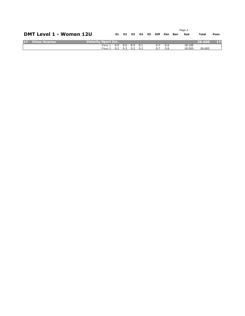|                 |                                |                            |     |                         |     |  |            |     | Page 2 |        |        |      |
|-----------------|--------------------------------|----------------------------|-----|-------------------------|-----|--|------------|-----|--------|--------|--------|------|
|                 | <b>DMT Level 1 - Women 12U</b> |                            | E1. | E2                      | E3. |  | E4 E5 Diff | Pen | Bon    | Sub    | Total  | Posn |
| 17 <sup>2</sup> | Chloe Huerter                  | <b>Velocity Sport Inc.</b> |     |                         |     |  |            |     |        |        | 36.600 |      |
|                 |                                | Pass 1                     |     | $9.0$ $9.0$ $8.9$ $9.1$ |     |  | 0.7        | 0.6 |        | 18.100 |        |      |
|                 |                                | Pass 2 9.2 9.3 9.2 9.2     |     |                         |     |  | 0.7        | 0.6 |        | 18.500 | 36.600 |      |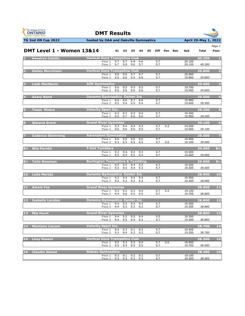



### **TG 2nd ON Cup 2022 hosted by OAA and Oakville Gymnastics April 29-May 1, 2022**

*Page 1*

|                 | <b>DMT Level 1 - Women 13&amp;14</b> |                                             |            | E1 E2              | E3         | E4                 | E5 |            | Diff Pen | Bon | Sub              | <b>Total</b> | Posn                    |
|-----------------|--------------------------------------|---------------------------------------------|------------|--------------------|------------|--------------------|----|------------|----------|-----|------------------|--------------|-------------------------|
|                 | <b>Kendryn Catallo</b>               | <b>Vertical Zone Trampoline Club</b>        |            |                    |            |                    |    |            |          |     |                  | 40.200       | -1.                     |
|                 |                                      | Pass 1<br>Pass <sub>2</sub>                 | 9.7<br>9.7 | 9.7<br>9.8         | 9.8        | 9.6<br>$9.6$ $9.7$ |    | 0.7<br>0.7 |          |     | 20.100<br>20.100 | 40.200       |                         |
|                 | <b>Hailey Murchison</b>              | <b>Vertical Zone Trampoline Club</b>        |            |                    |            |                    |    |            |          |     |                  | 39.800       | $\overline{2}$          |
|                 |                                      | Pass 1<br>Pass 2                            | 9.6<br>9.5 | 9.6<br>9.6         | 9.7<br>9.5 | 9.7<br>9.6         |    | 0.7<br>0.7 |          |     | 20.000<br>19.800 | 39.800       |                         |
|                 | <b>Leah MacNevin</b>                 | <b>AIM Gymnastics</b>                       |            |                    |            |                    |    |            |          |     |                  | 39.600       | $\overline{\mathbf{3}}$ |
|                 |                                      | Pass 1 9.6 9.5<br>Pass <sub>2</sub>         | 9.6        | 9.6                | 9.5<br>9.6 | 9.5<br>9.6         |    | 0.7<br>0.7 |          |     | 19.700<br>19.900 | 39.600       |                         |
|                 | <b>Avery Bond</b>                    | <b>Dynamo Gymnastics Center Inc</b>         |            |                    |            |                    |    |            |          |     |                  | 39.500       | $\overline{4}$          |
|                 |                                      | Pass 1<br>Pass 2                            | 9.6<br>9.5 | 9.6<br>9.4         | 9.7<br>9.5 | 9.6<br>9.4         |    | 0.7<br>0.7 |          |     | 19.900<br>19.600 | 39.500       |                         |
|                 | <b>Tessa Moore</b>                   | <b>Velocity Sport Inc.</b>                  |            |                    |            |                    |    |            |          |     |                  | 39.200       | $\overline{5}$          |
|                 |                                      | Pass 1<br>Pass 2                            | 9.3<br>9.5 | 9.3<br>9.7         | 9.3<br>9.6 | 9.4<br>9.6         |    | 0.7<br>0.7 |          |     | 19.300<br>19.900 | 39.200       |                         |
| 6               | <b>Qiawna Grant</b>                  | <b>Grand River Gymmies</b>                  |            |                    |            |                    |    |            |          |     |                  | 39.100       | $6\phantom{1}6$         |
|                 |                                      | Pass 1<br>Pass 2 9.6 9.6                    | 9.3        | 9.4                | 9.4<br>9.6 | 9.3<br>9.5         |    | 0.7<br>0.7 | 0.2      |     | 19.200<br>19.900 | 39.100       |                         |
|                 | <b>Cadence Skimming</b>              | <b>Adrenaline Gymnastics</b>                |            |                    |            |                    |    |            |          |     |                  | 39.000       | 7                       |
|                 |                                      | Pass 1<br>Pass 2                            | 9.6        | 9.8<br>$9.3$ $9.5$ | 9.6<br>9.5 | 9.6<br>9.5         |    | 0.7<br>0.7 | 0.6      |     | 19.900<br>19.100 | 39.000       |                         |
|                 | 8= Nila Parekh                       | <b>T-Dot Tumblers</b>                       |            |                    |            |                    |    |            |          |     |                  | 39.000       | $8 =$                   |
|                 |                                      | Pass 1<br>Pass 2                            | 9.3<br>9.5 | 9.4<br>9.4         | 9.4<br>9.5 | 9.3<br>9.4         |    | 0.7<br>0.7 |          |     | 19.400<br>19.600 | 39.000       |                         |
|                 | 8= Taite Bowman                      | <b>Burlington Trampoline &amp; Tumbling</b> |            |                    |            |                    |    |            |          |     |                  | 39.000       | $8 =$                   |
|                 |                                      | Pass 1<br>Pass 2                            | 9.5<br>9.4 | 9.4<br>9.4         | 9.4<br>9.4 | 9.4<br>9.3         |    | 0.7<br>0.7 |          |     | 19.500<br>19.500 | 39.000       |                         |
|                 | 10 Leila Merida                      | <b>Dynamo Gymnastics Center Inc</b>         |            |                    |            |                    |    |            |          |     |                  | 38.900       | 10                      |
|                 |                                      | Pass $1$<br>Pass <sub>2</sub>               | 9.2<br>9.4 | 9.4<br>9.3         | 9.4<br>9.3 | 9.4<br>9.4         |    | 0.7<br>0.7 |          |     | 19.500<br>19.400 | 38.900       |                         |
|                 | 11 Alexis Fox                        | <b>Grand River Gymmies</b>                  |            |                    |            |                    |    |            |          |     |                  | 38.800       | 11                      |
|                 |                                      | Pass 1<br>Pass 2                            | 9.3<br>9.4 | 9.2<br>9.6         | 9.3<br>9.5 | 9.4<br>9.5         |    | 0.7<br>0.7 | 0.2      |     | 19.100<br>19.700 | 38.800       |                         |
| 12 <sub>1</sub> | <b>Isabelle Larabie</b>              | <b>Dynamo Gymnastics Center Inc</b>         |            |                    |            |                    |    |            |          |     |                  | 38.800       | 12                      |
|                 |                                      | Pass 1<br>Pass <sub>2</sub>                 | 9.4<br>9.4 | 9.4<br>9.3         | 9.4<br>9.3 | 9.4<br>9.3         |    | 0.7<br>0.7 |          |     | 19.500<br>19.300 | 38.800       |                         |
| 13              | <b>Mia Hurst</b>                     | <b>Grand River Gymmies</b>                  |            |                    |            |                    |    |            |          |     |                  | 38,800       | 13                      |
|                 |                                      | Pass 1<br>Pass 2                            | 9.4<br>9.4 | 9.2<br>9.5         | 9.5<br>9.4 | 9.4<br>9.3         |    | 0.5<br>0.7 |          |     | 19.300<br>19.500 | 38.800       |                         |
| 14              | <b>Montana Liscum</b>                | <b>Velocity Sport Inc.</b>                  |            |                    |            |                    |    |            |          |     |                  | 38.700       | 14                      |
|                 |                                      | Pass 1<br>Pass 2                            | 9.4<br>9.3 | 9.3<br>9.4         | 9.1<br>9.3 | 9.4<br>9.2         |    | 0.7<br>0.7 |          |     | 19.400<br>19.300 | 38.700       |                         |
| 15              | <b>Lexy Dysarz</b>                   | <b>Vertical Zone Trampoline Club</b>        |            |                    |            |                    |    |            |          |     |                  | 38.500       | 15                      |
|                 |                                      | Pass 1<br>Pass <sub>2</sub>                 | 9.5<br>9.5 | 9.3<br>9.4         | 9.3<br>9.5 | 9.4<br>9.5         |    | 0.7<br>0.7 | 0.6      |     | 18.800<br>19.700 | 38.500       |                         |
| <b>16</b>       | <b>Claudia Aboud</b>                 | <b>Rideau Gymnastics</b>                    |            |                    |            |                    |    |            |          |     |                  | 38.400       | 16                      |
|                 |                                      | Pass 1<br>Pass 2                            | 9.3<br>9.3 | 9.1<br>9.3         | 9.2<br>9.3 | 9.2<br>9.3         |    | 0.7<br>0.7 |          |     | 19.100<br>19.300 | 38.400       |                         |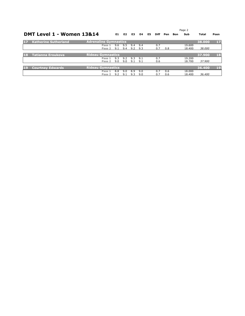|           |                             |                              |     |     |     | Page 2 |    |             |     |     |        |        |      |
|-----------|-----------------------------|------------------------------|-----|-----|-----|--------|----|-------------|-----|-----|--------|--------|------|
|           | DMT Level 1 - Women 13&14   |                              | E1. | E2  | E3  | E4     | E5 | <b>Diff</b> | Pen | Bon | Sub    | Total  | Posn |
| 17        | <b>Katherine Sutherland</b> | <b>Adrenaline Gymnastics</b> |     |     |     |        |    |             |     |     |        | 38,000 | 17   |
|           |                             | Pass 1                       | 9.6 | 9.5 | 9.4 | 9.4    |    | 0.7         |     |     | 19.600 |        |      |
|           |                             | Pass 2                       | 9.1 | 9.4 | 9.2 | 9.3    |    | 0.7         | 0.8 |     | 18,400 | 38,000 |      |
|           |                             |                              |     |     |     |        |    |             |     |     |        |        |      |
| 18        | Tatianna Eroukova           | <b>Rideau Gymnastics</b>     |     |     |     |        |    |             |     |     |        | 37.900 | 18   |
|           |                             | Pass 1                       | 9.3 | 9.2 | 9.3 | 9.1    |    | 0.7         |     |     | 19.200 |        |      |
|           |                             | Pass <sub>2</sub>            | 9.0 | 9.0 | 9.1 | 9.1    |    | 0.6         |     |     | 18.700 | 37,900 |      |
|           |                             |                              |     |     |     |        |    |             |     |     |        |        |      |
| <b>19</b> | <b>Courtney Edwards</b>     | <b>Rideau Gymnastics</b>     |     |     |     |        |    |             |     |     |        | 36.400 | 19   |
|           |                             | Pass 1                       | 8.8 | 9.0 | 8.9 | 9.0    |    | 0.7         | 0.6 |     | 18,000 |        |      |
|           |                             | Pass 2                       | 9.2 | 9.1 | 9.3 | 9.0    |    | 0.7         | 0.6 |     | 18,400 | 36,400 |      |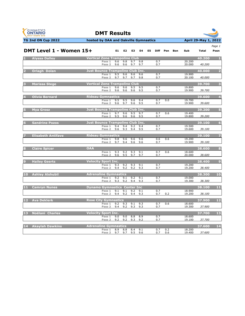



| Page 1 |
|--------|
|        |
|        |

|                 | DMT Level 1 - Women 15+   |                                                   | E1         | E <sub>2</sub> | E3         | E4         | E5 | <b>Diff</b> | Pen | Bon | Sub              | <b>Total</b> | Posn                    |
|-----------------|---------------------------|---------------------------------------------------|------------|----------------|------------|------------|----|-------------|-----|-----|------------------|--------------|-------------------------|
|                 | <b>Alyssa Dalley</b>      | <b>Vertical Zone Trampoline Club</b>              |            |                |            |            |    |             |     |     |                  | 40.200       | $\mathbf{1}$            |
|                 |                           | Pass 1                                            | 9.6        | 9.8            | 9.7        | 9.8        |    | 0.7         |     |     | 20,200           |              |                         |
|                 |                           | Pass <sub>2</sub>                                 | 9.6        | 9.6            | 9.7        | 9.7        |    | 0.7         |     |     | 20.000           | 40.200       |                         |
|                 | <b>Orlagh Dolan</b>       | <b>Just Bounce Trampoline Club Inc.</b>           |            |                |            |            |    |             |     |     |                  | 40.000       | $\overline{2}$          |
|                 |                           | Pass 1<br>Pass <sub>2</sub>                       | 9.5<br>9.7 | 9.6<br>9.7     | 9.6<br>9.7 | 9.6<br>9.8 |    | 0.7<br>0.7  |     |     | 19.900<br>20.100 | 40.000       |                         |
|                 |                           |                                                   |            |                |            |            |    |             |     |     |                  |              |                         |
|                 | <b>Marissa Stege</b>      | <b>Vertical Zone Trampoline Club</b>              |            |                |            |            |    |             |     |     |                  | 39.700       | $\overline{\mathbf{3}}$ |
|                 |                           | Pass 1<br>Pass <sub>2</sub>                       | 9.6<br>9.6 | 9.6<br>9.6     | 9.5<br>9.6 | 9.5<br>9.5 |    | 0.7<br>0.7  |     |     | 19.800<br>19.900 | 39.700       |                         |
|                 |                           |                                                   |            |                |            |            |    |             |     |     |                  |              |                         |
|                 | <b>Olivia Bernard</b>     | <b>Rideau Gymnastics</b>                          |            |                |            |            |    |             | 0.0 |     |                  | 39.600       | $\overline{4}$          |
|                 |                           | Pass 1<br>Pass 2                                  | 9.5<br>9.6 | 9.5<br>9.7     | 9.6<br>9.6 | 9.4<br>9.5 |    | 0.7<br>0.7  |     |     | 19.700<br>19.900 | 39.600       |                         |
|                 |                           |                                                   |            |                |            |            |    |             |     |     |                  |              |                         |
|                 | <b>Mya Grosz</b>          | <b>Just Bounce Trampoline Club Inc.</b><br>Pass 1 | 9.7        | 9.6            | 9.5        | 9.7        |    | 0.7         | 0.6 |     | 19.400           | 39.200       | 5 <sup>1</sup>          |
|                 |                           | Pass 2                                            | 9.5        | 9.6            | 9.6        | 9.5        |    | 0.7         |     |     | 19.800           | 39.200       |                         |
|                 |                           |                                                   |            |                |            |            |    |             |     |     |                  |              |                         |
|                 | <b>Sandrine Pozos</b>     | <b>Just Bounce Trampoline Club Inc.</b><br>Pass 1 | 9.4        | 9.4            | 9.2        | 9.4        |    | 0.7         |     |     | 19.500           | 39.100       | 6                       |
|                 |                           | Pass <sub>2</sub>                                 | 9.6        | 9.3            | 9.4        | 9.5        |    | 0.7         |     |     | 19.600           | 39.100       |                         |
|                 |                           |                                                   |            |                |            |            |    |             |     |     |                  |              |                         |
|                 | <b>Elisabeth Antifave</b> | <b>Rideau Gymnastics</b><br>Pass 1                | 9.8        | 9.6            | 9.6        | 9.6        |    | 0.6         | 0.6 |     | 19.200           | 39.100       | 7                       |
|                 |                           | Pass 2                                            | 9.7        | 9.4            | 9.6        | 9.6        |    | 0.7         |     |     | 19.900           | 39.100       |                         |
|                 | <b>Claire Spicer</b>      | <b>OAA</b>                                        |            |                |            |            |    |             |     |     |                  | 38,600       | $\mathbf{8}$            |
|                 |                           | Pass 1                                            | 9.3        | 9.2            | 9.3        | 9.1        |    | 0.7         | 0.6 |     | 18.600           |              |                         |
|                 |                           | Pass <sub>2</sub>                                 | 9.6        | 9.5            | 9.7        | 9.7        |    | 0.7         |     |     | 20.000           | 38.600       |                         |
|                 | <b>Hailey Geerts</b>      | <b>Velocity Sport Inc.</b>                        |            |                |            |            |    |             |     |     |                  | 38.400       | $\overline{9}$          |
|                 |                           | Pass 1                                            | 9.3        | 9.2            | 9.3        | 9.1        |    | 0.7         |     |     | 19.200           |              |                         |
|                 |                           | Pass <sub>2</sub>                                 | 9.4        | 9.2            | 9.2        | 9.3        |    | 0.7         |     |     | 19.200           | 38.400       |                         |
|                 | 10 Ashley Alshubil        | <b>Adrenaline Gymnastics</b>                      |            |                |            |            |    |             |     |     |                  | 38,300       | 10                      |
|                 |                           | Pass 1                                            | 9.2        | 9.1            | 9.2        | 9.1        |    | 0.7         |     |     | 19.000           |              |                         |
|                 |                           | Pass 2                                            | 9.3        | 9.2            | 9.4        | 9.3        |    | 0.7         |     |     | 19.300           | 38.300       |                         |
| $11 -$          | <b>Camryn Nunes</b>       | <b>Dynamo Gymnastics Center Inc</b>               |            |                |            |            |    |             |     |     |                  | 38.100       | 11                      |
|                 |                           | Pass 1                                            | 9.1        | 9.1            | 9.2        | 9.1        |    | 0.7         |     |     | 18.900           |              |                         |
|                 |                           | Pass 2                                            | 9.4        | 9.2            | 9.4        | 9.3        |    | 0.7         | 0.2 |     | 19.200           | 38.100       |                         |
|                 | 12 Ava Deklerk            | <b>Rose City Gymnastics</b>                       |            |                |            |            |    |             |     |     |                  | 37.900       | 12                      |
|                 |                           | Pass 1                                            | 9.2        | 9.3            | 9.1        | 9.3        |    | 0.7         | 0.6 |     | 18.600           |              |                         |
|                 |                           | Pass <sub>2</sub>                                 | 9.4        | 9.2            | 9.3        | 9.3        |    | 0.7         |     |     | 19.300           | 37.900       |                         |
| 13 <sup>1</sup> | Noëlani Charles           | <b>Velocity Sport Inc.</b>                        |            |                |            |            |    |             |     |     |                  | 37.700       | 13                      |
|                 |                           | Pass 1                                            | 9.0        | 9.0            | 8.8        | 8.9        |    | 0.7         |     |     | 18.600           |              |                         |
|                 |                           | Pass <sub>2</sub>                                 | 9.2        | 9.2            | 9.3        | 9.2        |    | 0.7         |     |     | 19.100           | 37.700       |                         |
| 14              | <b>Akaylah Dawkins</b>    | <b>Adrenaline Gymnastics</b>                      |            |                |            |            |    |             |     |     |                  | 37.600       | 14                      |
|                 |                           | Pass 1                                            | 8.9        | 8.8            | 8.4        | 9.1        |    | 0.7         | 0.2 |     | 18.200           |              |                         |
|                 |                           | Pass 2 9.7                                        |            | 9.7            | 9.5        | 9.6        |    | 0.7         | 0.6 |     | 19.400           | 37.600       |                         |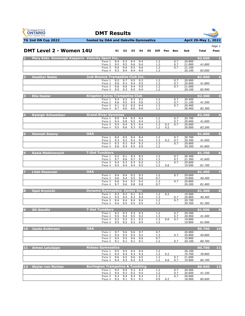



| TG 2nd ON Cup 2022                              | hosted by OAA and Oakville Gymnastics           |            |            |            |            |    |            |            |                   |                  | April 29-May 1, 2022 |                         |
|-------------------------------------------------|-------------------------------------------------|------------|------------|------------|------------|----|------------|------------|-------------------|------------------|----------------------|-------------------------|
| <b>DMT Level 2 - Women 14U</b>                  |                                                 | E1         | E2         | E3         | E4         | E5 | Diff       | Pen        | Bon               | Sub              | Total                | Page 1<br>Posn          |
| Mary Kate Kavanagh Kapparis Velocity Sport Inc. |                                                 |            |            |            |            |    |            |            |                   |                  | 83.000               |                         |
|                                                 | Pass 1                                          | 9.4        | 9.3        | 9.4        | 9.4        |    | 1.3        |            | 0.7               | 20,800           |                      |                         |
|                                                 | Pass <sub>2</sub><br>Pass 3                     | 9.5<br>9.6 | 9.5<br>9.6 | 9.6<br>9.5 | 9.4<br>9.6 |    | 1.3<br>1.2 |            | $\frac{0.7}{0.7}$ | 21.000<br>21.100 | 41.800               |                         |
|                                                 | Pass 4                                          | 9.3        | 9.4        | 9.4        | 9.4        |    | 1.3        |            |                   | 20.100           | 83.000               |                         |
| <b>Heather Noble</b>                            | <b>Just Bounce Trampoline Club Inc.</b>         |            |            |            |            |    |            |            |                   |                  | 82.900               | 2                       |
|                                                 | Pass 1<br>Pass <sub>2</sub>                     | 9.5<br>9.6 | 9.7<br>9.3 | 9.5<br>9.4 | 9.3<br>9.5 |    | 1.2<br>1.3 |            | 0.7<br>0.7        | 20.900<br>20.900 | 41.800               |                         |
|                                                 | Pass 3                                          | 9.6        | 9.6        | 9.4        | 9.5        |    | 1.2        |            | 0.7               | 21.000           |                      |                         |
|                                                 | Pass 4                                          | 9.5        | 9.3        | 9.5        | 9.4        |    | 1.2        |            |                   | 20.100           | 82.900               |                         |
| <b>Ella Heeler</b>                              | <b>Kingston Aeros Trampoline Club</b>           |            |            |            |            |    |            |            |                   |                  | 82.300               | $\overline{\mathbf{3}}$ |
|                                                 | Pass 1<br>Pass <sub>2</sub>                     | 9.4<br>9.6 | 9.2<br>9.5 | 9.3<br>9.4 | 9.2<br>9.6 |    | 1.2<br>1.3 |            | 0.7<br>0.7        | 20.400<br>21.100 | 41.500               |                         |
|                                                 | Pass 3                                          | 9.1        | 9.2        | 9.2<br>9.6 | 9.4<br>9.6 |    | 1.3<br>1.2 |            | 0.7               | 20.400           |                      |                         |
|                                                 | Pass 4                                          | 9.7        | 9.6        |            |            |    |            |            |                   | 20.400           | 82.300               |                         |
| <b>Ryleigh Schweitzer</b>                       | <b>Grand River Gymmies</b><br>Pass <sub>1</sub> |            |            | 9.3        | 9.4        |    |            |            | 0.7               |                  | 82.200               | $\overline{4}$          |
|                                                 | Pass <sub>2</sub>                               | 9.5<br>9.4 | 9.4<br>9.8 | 9.5        | 9.4        |    | 1.2<br>1.3 |            | 0.7               | 20.700<br>20.900 | 41.600               |                         |
|                                                 | Pass 3<br>Pass 4                                | 9.5<br>9.5 | 9.4<br>9.6 | 9.3<br>9.3 | 9.4<br>9.5 |    | 1.3<br>1.2 | 0.2<br>0.2 | 0.7               | 20.600<br>20.000 | 82.200               |                         |
|                                                 |                                                 |            |            |            |            |    |            |            |                   |                  |                      |                         |
| <b>Hannah Sweny</b>                             | <b>OAA</b><br>Pass 1                            | 9.4        | 9.5        | 9.4        | 9.4        |    | 1.2        |            | 0.7               | 20.700           | 81.800               | 5                       |
|                                                 | Pass <sub>2</sub>                               | 9.3        | 9.2        | 9.2        | 9.4        |    | 1.3        | 0.2        | 0.7               | 20.300           | 41.000               |                         |
|                                                 | Pass 3<br>Pass 4                                | 9.3<br>9.6 | 9.3<br>9.4 | 9.4<br>9.5 | 9.3<br>9.5 |    | 1.3<br>1.2 |            | 0.7               | 20.600<br>20.200 | 81.800               |                         |
| <b>Kasia Makhnevych</b>                         | <b>T-Dot Tumblers</b>                           |            |            |            |            |    |            |            |                   |                  | 81.700               | 6                       |
|                                                 | Pass 1                                          | 9.2        | 9.1        | 9.3        | 9.2        |    | 1.2        |            | 0.7               | 20.300           |                      |                         |
|                                                 | Pass <sub>2</sub><br>Pass 3                     | 9.7<br>9.4 | 9.6<br>9.3 | 9.7<br>9.3 | 9.3<br>9.2 |    | 1.3<br>1.3 |            | 0.7<br>0.7        | 21.300<br>20.600 | 41.600               |                         |
|                                                 | Pass 4                                          | 9.5        | 9.4        | 9.4        | 9.5        |    | 1.2        | 0.6        |                   | 19.500           | 81.700               |                         |
| <b>Lilah Rosevear</b>                           | <b>OAA</b>                                      |            |            |            |            |    |            |            |                   |                  | 81.400               |                         |
|                                                 | Pass 1<br>Pass <sub>2</sub>                     | 9.4<br>9.6 | 9.4<br>9.4 | 9.2<br>9.5 | 9.3<br>9.6 |    | 1.2<br>0.7 |            | 0.7               | 20.600<br>19.800 | 40.400               |                         |
|                                                 | Pass 3                                          | 9.6        | 9.4        | 9.3        | 9.4        |    | 1.3        |            | 0.7               | 20.800           |                      |                         |
|                                                 | Pass 4                                          | 9.7        | 9.6        | 9.8        | 9.8        |    | 0.7        |            |                   | 20.200           | 81.400               |                         |
| <b>Opal Krynicki</b>                            | <b>Dynamo Gymnastics Center Inc.</b>            |            |            |            |            |    |            |            |                   |                  | 81.300               | $\bf{8}$                |
|                                                 | Pass 1<br>Pass <sub>2</sub>                     | 9.3<br>9.5 | 9.2<br>9.4 | 9.1<br>9.3 | 9.3<br>9.4 |    | 1.2<br>1.3 | 0.2        | 0.7               | 19.500<br>20.800 | 40.300               |                         |
|                                                 | Pass 3<br>Pass 4                                | 9.4<br>9.4 | 9.4<br>9.5 | 9.4<br>9.5 | 9.4<br>9.5 |    | 1.2<br>1.3 |            | 0.7               | 20.700<br>20.300 | 81.300               |                         |
|                                                 |                                                 |            |            |            |            |    |            |            |                   |                  |                      |                         |
| $\overline{9}$<br><b>Oli Gandhi</b>             | <b>T-Dot Tumblers</b><br>Pass 1 9.2             |            | 9.3        | 9.3        | 9.3        |    | 1.2        |            | 0.7               | 20.500           | 81.000               | $\overline{9}$          |
|                                                 | Pass 2                                          | 9.5        | 9.4        | 9.5        | 9.2        |    | 1.3        |            | 0.7               | 20.900           | 41.400               |                         |
|                                                 | Pass 3<br>Pass 4                                | 9.2<br>9.5 | 9.2<br>9.2 | 9.1<br>9.2 | 9.2<br>9.4 |    | 1.3<br>1.2 | 0.6        | 0.7               | 19.800<br>19.800 | 81.000               |                         |
|                                                 | <b>OAA</b>                                      |            |            |            |            |    |            |            |                   |                  |                      |                         |
| 10 Jayda Anderson                               | Pass 1                                          | 9.7        | 9.6        | 9.6        | 9.7        |    | 0.7        |            |                   | 20,000           | 80.700               | 10                      |
|                                                 | Pass <sub>2</sub><br>Pass 3                     | 9.4<br>9.5 | 9.4<br>9.5 | 9.4<br>9.6 | 9.2<br>9.6 |    | 1.3<br>0.7 |            | 0.7               | 20.800<br>19.800 | 40.800               |                         |
|                                                 | Pass 4                                          | 9.1        | 9.1        | 9.1        | 9.1        |    | 1.2        |            | 0.7               | 20.100           | 80.700               |                         |
| <b>Aimee Latulippe</b><br>ш                     | <b>Rideau Gymnastics</b>                        |            |            |            |            |    |            |            |                   |                  | 80.700               | 11                      |
|                                                 | Pass 1                                          | 9.5        | 9.5        | 9.4        | 9.4        |    | 1.2        |            |                   | 20.100           |                      |                         |
|                                                 | Pass <sub>2</sub><br>Pass 3                     | 9.4<br>9.6 | 9.4<br>9.5 | 9.3<br>9.6 | 9.3<br>9.5 |    | 1.2<br>1.2 | 0.2        | 0.7               | 19.700<br>21.000 | 39.800               |                         |
|                                                 | Pass 4                                          | 9.4        | 9.3        | 9.2        | 9.3        |    | 1.2        | 0.6        | 0.7               | 19.900           | 80.700               |                         |
| <b>Skylar von Richter</b><br>$12 \overline{ }$  | <b>Burlington Trampoline &amp; Tumbling</b>     |            |            |            |            |    |            |            |                   |                  | 80.600               | $12$                    |
|                                                 | Pass 1<br>Pass <sub>2</sub>                     | 9.2<br>9.4 | 9.4<br>9.3 | 9.3<br>9.2 | 9.3<br>9.4 |    | 1.2<br>1.2 |            | 0.7<br>0.7        | 20.500<br>20.600 | 41.100               |                         |
|                                                 | Pass 3                                          | 9.3        | 9.4        | 9.3        | 9.3        |    | 1.3        |            | 0.7               | 20.600           |                      |                         |
|                                                 | Pass 4                                          | 9.2        | 9.1        | 9.1        | 9.1        |    | 0.9        | 0.2        |                   | 18.900           | 80.600               |                         |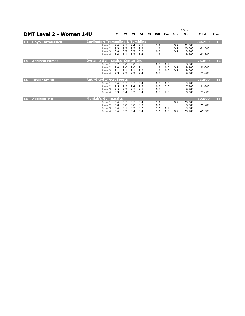|           |                                |                                             |     |                |     |     |    |             | Page 2 |            |        |        |      |
|-----------|--------------------------------|---------------------------------------------|-----|----------------|-----|-----|----|-------------|--------|------------|--------|--------|------|
|           | <b>DMT Level 2 - Women 14U</b> |                                             | E1  | E <sub>2</sub> | E3  | E4  | E5 | <b>Diff</b> | Pen    | <b>Bon</b> | Sub    | Total  | Posn |
| 13        | <b>Haya Tartoussieh</b>        | <b>Burlington Trampoline &amp; Tumbling</b> |     |                |     |     |    |             |        |            |        | 80.200 | 13   |
|           |                                | Pass 1                                      | 9.6 | 9.5            | 9.4 | 9.5 |    | 1.3         |        | 0.7        | 21.000 |        |      |
|           |                                | Pass <sub>2</sub>                           | 9.3 | 9.2            | 9.3 | 9.3 |    | 1.2         |        | 0.7        | 20.500 | 41.500 |      |
|           |                                | Pass 3                                      | 8.8 | 8.7            | 8.7 | 8.7 |    | 0.7         |        | 0.7        | 18,800 |        |      |
|           |                                | Pass 4                                      | 9.4 | 9.1            | 9.2 | 9.4 |    | 1.3         |        |            | 19.900 | 80.200 |      |
| 14        | <b>Addison Eames</b>           | <b>Dynamo Gymnastics Center Inc.</b>        |     |                |     |     |    |             |        |            |        | 76.800 | 14   |
|           |                                | Pass 1                                      | 9.2 | 9.0            | 9.0 | 9.1 |    | 0.7         | 0.2    |            | 18.600 |        |      |
|           |                                | Pass <sub>2</sub>                           | 9.0 | 9.0            | 9.0 | 9.1 |    | 1.3         | 0.6    | 0.7        | 19.400 | 38.000 |      |
|           |                                | Pass 3                                      | 9.1 | 9.1            | 9.1 | 9.0 |    | 1.2         | 0.6    | 0.7        | 19.500 |        |      |
|           |                                | Pass 4                                      | 9.3 | 9.3            | 9.2 | 9.4 |    | 0.7         |        |            | 19.300 | 76.800 |      |
| <b>15</b> | <b>Taylor Smith</b>            | <b>Anti-Gravity AcroSports</b>              |     |                |     |     |    |             |        |            |        | 71.800 | 15   |
|           |                                | Pass 1                                      | 9.6 | 9.5            | 9.5 | 9.4 |    | 0.7         | 0.6    |            | 19.100 |        |      |
|           |                                | Pass <sub>2</sub>                           | 9.5 | 9.5            | 9.4 | 9.5 |    | 0.7         | 2.0    |            | 17.700 | 36.800 |      |
|           |                                | Pass 3                                      | 9.5 | 9.3            | 9.5 | 9.5 |    | 0.7         |        |            | 19.700 |        |      |
|           |                                | Pass 4                                      | 8.3 | 8.4            | 8.3 | 8.4 |    | 0.6         | 2.0    |            | 15.300 | 71.800 |      |
| <b>16</b> | <b>Addison Na</b>              | <b>Manjak's Gymnastics</b>                  |     |                |     |     |    |             |        |            |        | 60.500 | 16   |
|           |                                | Pass 1                                      | 9.4 | 9.5            | 9.5 | 9.4 |    | 1.3         |        | 0.7        | 20,900 |        |      |
|           |                                | Pass <sub>2</sub>                           | 0.0 | 0.0            | 0.0 | 0.0 |    | 0.0         |        |            | 0.000  | 20.900 |      |
|           |                                | Pass 3                                      | 9.4 | 9.1            | 9.3 | 9.2 |    | 1.2         | 0.2    |            | 19.500 |        |      |
|           |                                | Pass 4                                      | 9.6 | 9.3            | 9.4 | 9.4 |    | 1.2         | 0.6    | 0.7        | 20.100 | 60.500 |      |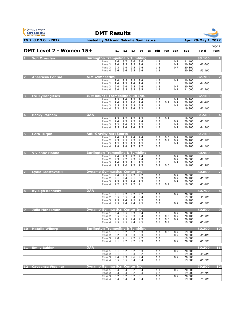



|           | DMT Level 2 - Women 15+ |                                                       | E1.                       | E2         | E3         | E4         | E5 | Diff       | Pen        | Bon        | Sub              | Total         | Page 1<br>Posn   |
|-----------|-------------------------|-------------------------------------------------------|---------------------------|------------|------------|------------|----|------------|------------|------------|------------------|---------------|------------------|
|           |                         |                                                       |                           |            |            |            |    |            |            |            |                  |               |                  |
|           | Sofi Oroszlan           | <b>Burlington Trampoline &amp; Tumbling</b><br>Pass 1 | 9.6                       | 9.7        | 9.6        | 9.6        |    | 1.2        |            | 0.7        | 21.100           | 83.100        |                  |
|           |                         | Pass <sub>2</sub><br>Pass <sub>3</sub>                | 9.4<br>9.3                | 9.5<br>9.4 | 9.5<br>9.5 | 9.4<br>9.4 |    | 1.3<br>1.3 |            | 0.7<br>0.7 | 20.900<br>20.800 | 42.000        |                  |
|           |                         | Pass 4                                                | 9.6                       | 9.6        | 9.5        | 9.4        |    | 1.2        |            |            | 20.300           | 83.100        |                  |
|           | <b>Anastasia Conrad</b> | <b>AIM Gymnastics</b>                                 |                           |            |            |            |    |            |            |            |                  | 82.700        | $\overline{2}$   |
|           |                         | Pass 1<br>Pass <sub>2</sub>                           | 9.4<br>9.4                | 9.5<br>9.3 | 9.5<br>9.4 | 9.4<br>9.4 |    | 1.3<br>1.3 |            | 0.7        | 20.900<br>20.100 | 41.000        |                  |
|           |                         | Pass <sub>3</sub><br>Pass 4                           | 9.4<br>9.4                | 9.4<br>9.5 | 9.5<br>9.5 | 9.4<br>9.5 |    | 1.2<br>1.3 |            | 0.7<br>0.7 | 20.700<br>21.000 | 82.700        |                  |
|           | <b>Evi Kyrlangitses</b> | <b>Just Bounce Trampoline Club Inc.</b>               |                           |            |            |            |    |            |            |            |                  | 82.100        | з                |
|           |                         | Pass 1                                                | 9.3                       | 9.4        | 9.3        | 9.4        |    | 1.3        |            | 0.7        | 20.700           |               |                  |
|           |                         | Pass <sub>2</sub><br>Pass 3                           | 9.4<br>9.5                | 9.5<br>9.5 | 9.6<br>9.5 | 9.4<br>9.5 |    | 1.3<br>1.2 | 0.2        | 0.7<br>0.7 | 20.700<br>20.900 | 41.400        |                  |
|           |                         | Pass 4                                                | 9.3                       | 9.3        | 9.4        | 9.2        |    | 1.2        |            |            | 19.800           | 82.100        |                  |
|           | <b>Becky Parham</b>     | <b>OAA</b>                                            |                           |            |            |            |    |            |            |            |                  | 81.500        | $\overline{4}$   |
|           |                         | Pass 1                                                | 9.3<br>9.4                | 9.2<br>9.3 | 9.2<br>9.3 | 9.3<br>9.4 |    | 1.2<br>1.2 | 0.2        | 0.7        | 19.500<br>20.600 | 40.100        |                  |
|           |                         | Pass 2<br>Pass 3                                      | 9.2                       | 9.4        | 9.3        | 9.2        |    | 1.3        |            | 0.7        | 20.500           |               |                  |
|           |                         | Pass 4                                                | 9.5                       | 9.4        | 9.4        | 9.5        |    | 1.3        |            | 0.7        | 20.900           | 81.500        |                  |
|           | <b>Cora Turpin</b>      | <b>Anti-Gravity AcroSports</b>                        |                           |            |            |            |    |            |            |            |                  | 81.100        | 5                |
|           |                         | Pass 1<br>Pass <sub>2</sub>                           | 9.4<br>9.3                | 9.5<br>9.5 | 9.4<br>9.3 | 9.4<br>9.3 |    | 1.2<br>1.3 | 0.6<br>0.2 | 0.7<br>0.7 | 20.100<br>20.400 | 40.500        |                  |
|           |                         | Pass 3<br>Pass 4                                      | 9.2<br>9.8                | 9.2<br>9.8 | 9.3<br>9.7 | 9.2<br>9.7 |    | 1.3<br>0.7 |            | 0.7        | 20.400<br>20.200 | <i>81.100</i> |                  |
| 6         | <b>Vivienne Hanna</b>   | <b>Burlington Trampoline &amp; Tumbling</b>           |                           |            |            |            |    |            |            |            |                  | 80.900        | $6\phantom{1}6$  |
|           |                         | Pass 1                                                | 9.4                       | 9.3        | 9.2        | 9.4        |    | 1.3        |            | 0.7        | 20.700           |               |                  |
|           |                         | Pass <sub>2</sub><br>Pass 3                           | 9.3<br>9.4                | 9.2<br>9.3 | 9.3<br>9.1 | 9.4<br>9.3 |    | 1.2<br>1.3 |            | 0.7<br>0.7 | 20.500<br>20.600 | 41.200        |                  |
|           |                         | Pass 4                                                | 9.5                       | 9.6        | 9.3        | 9.3        |    | 0.9        | 0.6        |            | 19.100           | 80.900        |                  |
|           | Lydia Brestovacki       | <b>Dynamo Gymnastics Center Inc.</b>                  |                           |            |            |            |    |            |            |            |                  | 80.800        |                  |
|           |                         | Pass 1<br>Pass <sub>2</sub>                           | 9.4<br>9.1                | 9.5<br>9.4 | 9.2<br>9.1 | 9.2<br>8.9 |    | 1.3<br>1.2 |            | 0.7<br>0.7 | 20.600<br>20.100 | 40.700        |                  |
|           |                         | Pass 3                                                | 9.3                       | 9.3        | 9.4        | 9.3        |    | 1.3        |            | 0.7        | 20.600           |               |                  |
|           |                         | Pass 4                                                | 9.2                       | 9.2        | 9.2        | 9.1        |    | 1.3        | 0.2        |            | 19.500           | 80.800        |                  |
|           | <b>Kyleigh Kennedy</b>  | OAA                                                   |                           |            |            |            |    |            |            | 0.7        | 20.300           | 80.700        | 8                |
|           |                         | Pass 1<br>Pass <sub>2</sub>                           | 9.1<br>9.5                | 9.2<br>9.5 | 9.2<br>9.4 | 9.2<br>9.4 |    | 1.2<br>0.7 |            |            | 19.600           | 39.900        |                  |
|           |                         | Pass <sub>3</sub><br>Pass 4                           | 9.5<br>9.5                | 9.4<br>9.4 | 9.5<br>9.4 | 9.5<br>9.5 |    | 0.9<br>1.3 |            | 0.7        | 19.900<br>20.900 | 80.700        |                  |
|           |                         |                                                       |                           |            |            |            |    |            |            |            |                  |               |                  |
|           | <b>Julia Manderson</b>  | <b>Dynamo Gymnastics Center Inc.</b><br>Pass 1        | 9.4                       | 9.5        | 9.3        | 9.4        |    | 1.3        |            | 0.7        | 20.800           | 80.600        | $\boldsymbol{9}$ |
|           |                         | Pass <sub>2</sub>                                     | 9.5                       | 9.5        | 9.3        | 9.4        |    | 1.3        | 0.8        | 0.7        | 20.100           | 40.900        |                  |
|           |                         | Pass 3                                                | 9.5<br>Pass 4 9.5 9.5 9.4 | 9.5        | 9.4        | 9.3<br>9.5 |    | 1.2<br>0.7 | 0.6<br>0.2 | 0.7        | 20.200<br>19.500 | 80.600        |                  |
| <b>10</b> | <b>Natalie Wiberg</b>   | <b>Burlington Trampoline &amp; Tumbling</b>           |                           |            |            |            |    |            |            |            |                  | 80.200        | 10               |
|           |                         | Pass 1                                                | 9.1                       | 9.2        | 9.2        | 9.3        |    | 1.3        | 0.6        | 0.7        | 19.800           |               |                  |
|           |                         | Pass <sub>2</sub><br>Pass <sub>3</sub>                | 9.2<br>9.0                | 9.3<br>9.1 | 9.3<br>9.2 | 9.3<br>9.2 |    | 1.3<br>1.2 |            | 0.7        | 20.600<br>19.500 | 40.400        |                  |
|           |                         | Pass 4                                                | 9.1                       | 9.2        | 9.2        | 9.3        |    | 1.2        |            | 0.7        | 20.300           | 80.200        |                  |
| 11        | <b>Emily Bakler</b>     | <b>OAA</b>                                            |                           |            |            |            |    |            |            |            |                  | 80.200        | 11               |
|           |                         | Pass 1<br>Pass <sub>2</sub>                           | 9.1<br>9.1                | 9.2<br>9.1 | 9.2<br>9.3 | 9.3<br>9.2 |    | 1.2<br>1.2 |            | 0.7        | 20.300<br>19.500 | 39.800        |                  |
|           |                         | Pass 3<br>Pass 4                                      | 9.4<br>9.5                | 9.3<br>9.5 | 9.6<br>9.4 | 9.4<br>9.4 |    | 1.3<br>0.7 |            | 0.7        | 20.800<br>19.600 | 80.200        |                  |
| 12        | <b>Caydence Woolner</b> | <b>Dynamo Gymnastics Center Inc</b>                   |                           |            |            |            |    |            |            |            |                  | 79.900        | $12$             |
|           |                         | Pass 1                                                | 9.4                       | 9.4        | 9.2        | 9.4        |    | 1.3        |            | 0.7        | 20.800           |               |                  |
|           |                         | Pass <sub>2</sub><br>Pass 3                           | 9.3<br>9.2                | 9.3<br>9.2 | 9.2<br>9.2 | 9.3<br>9.1 |    | 0.7<br>1.2 |            | 0.7        | 19.300<br>20.300 | 40.100        |                  |
|           |                         | Pass 4                                                | 9.4                       | 9.4        | 9.4        | 9.4        |    | 0.7        |            |            | 19.500           | 79.900        |                  |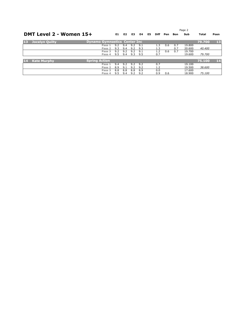|    |                         |                                      |     |     |     |     | Page 2 |             |     |     |        |        |      |
|----|-------------------------|--------------------------------------|-----|-----|-----|-----|--------|-------------|-----|-----|--------|--------|------|
|    | DMT Level 2 - Women 15+ |                                      |     | E2  | E3  | E4  | E5     | <b>Diff</b> | Pen | Bon | Sub    | Total  | Posn |
| 13 | Jocelyn Quilty          | <b>Dynamo Gymnastics Center Inc.</b> |     |     |     |     |        |             |     |     |        | 79.700 | 13   |
|    |                         | Pass 1                               | 9.2 | 9.4 | 9.2 | 9.1 |        | 1.3         | 0.6 | 0.7 | 19,800 |        |      |
|    |                         | Pass 2                               | 9.3 | 9.4 | 9.2 | 9.3 |        | 1.3         |     | 0.7 | 20,600 | 40.400 |      |
|    |                         | Pass 3                               | 9.2 | 9.2 | 9.2 | 9.1 |        | 1.2         | 0.6 | 0.7 | 19.700 |        |      |
|    |                         | Pass 4                               | 9.5 | 9.4 | 9.3 | 9.5 |        | 0.7         |     |     | 19.600 | 79.700 |      |
|    |                         |                                      |     |     |     |     |        |             |     |     |        |        |      |
| 14 | <b>Kate Murphy</b>      | <b>Spring Action</b>                 |     |     |     |     |        |             |     |     |        | 75.100 | 14   |
|    |                         | Pass 1                               | 9.4 | 9.2 | 9.2 | 9.2 |        | 0.7         |     |     | 19.100 |        |      |
|    |                         | Pass 2                               | 8.9 | 9.1 | 9.2 | 9.2 |        | 1.2         |     |     | 19.500 | 38.600 |      |
|    |                         | Pass 3                               | 8.8 | 8.8 | 8.8 | 8.9 |        | 0.0         |     |     | 17.600 |        |      |
|    |                         | Pass 4                               | 9.5 | 9.4 | 9.2 | 9.2 |        | 0.9         | 0.6 |     | 18.900 | 75.100 |      |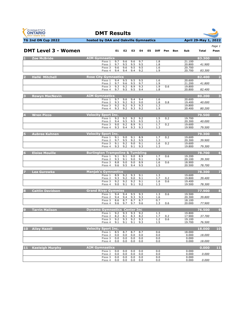

**DMT Results**



|                  |                            |                                             |            |                   |            |            |    |                   |            |     |                  |        | Page 1         |
|------------------|----------------------------|---------------------------------------------|------------|-------------------|------------|------------|----|-------------------|------------|-----|------------------|--------|----------------|
|                  | <b>DMT Level 3 - Women</b> |                                             | E1.        | E2                | E3         | E4         | E5 | Diff              | Pen        | Bon | Sub              | Total  | Posn           |
| <b>FLUE</b>      | <b>Zoe McBride</b>         | <b>AIM Gymnastics</b>                       |            |                   |            |            |    |                   |            |     |                  | 83.300 | - 1            |
|                  |                            | Pass 1<br>Pass 2                            | 9.7<br>9.7 | 9.6<br>9.5        | 9.6<br>9.5 | 9.7<br>9.5 |    | 1.8<br>1.8        |            |     | 21.100<br>20.800 | 41.900 |                |
|                  |                            | Pass 3                                      | 9.6        | 9.6               | 9.5        | 9.5        |    | 1.6               |            |     | 20.700           |        |                |
|                  |                            | Pass 4                                      | 9.4        | 9.4               | 9.4        | 9.2        |    | 1.9               |            |     | 20.700           | 83.300 |                |
|                  | <b>Hallé Mitchell</b>      | <b>Rose City Gymnastics</b>                 |            |                   |            |            |    |                   |            |     |                  | 82.400 |                |
|                  |                            | Pass 1<br>Pass <sub>2</sub>                 | 9.4<br>9.7 | 9.5<br>9.6        | 9.5<br>9.5 | 9.5<br>9.7 |    | 1.6<br>1.9        |            |     | 20.600<br>21.200 | 41.800 |                |
|                  |                            | Pass 3                                      | 9.3        | 9.2               | 8.9        | 9.3        |    | 1.9               | 0.6        |     | 19.800           |        |                |
|                  |                            | Pass 4                                      | 9.7        | 9.5               | 9.5        | 9.4        |    | 1.8               |            |     | 20.800           | 82.400 |                |
|                  | <b>Rowyn MacNevin</b>      | <b>AIM Gymnastics</b>                       |            |                   |            |            |    |                   |            |     |                  | 80.200 | 3              |
|                  |                            | Pass 1                                      | 9.7        | 9.6               | 9.4        | 9.4        |    | 1.6               |            |     | 20.600           |        |                |
|                  |                            | Pass <sub>2</sub><br>Pass 3                 | 9.3<br>9.2 | 9.2<br>9.2        | 9.2<br>9.3 | 9.0<br>9.3 |    | 1.8<br>1.3        | 0.8        |     | 19.400<br>19.800 | 40.000 |                |
|                  |                            | Pass 4                                      | 9.3        | 9.2               | 9.3        | 9.2        |    | 1.9               |            |     | 20.400           | 80.200 |                |
|                  | <b>Wren Picco</b>          | <b>Velocity Sport Inc.</b>                  |            |                   |            |            |    |                   |            |     |                  | 79.500 | $\overline{4}$ |
|                  |                            | Pass 1                                      | 9.2        | 9.2               | 9.2        | 9.2        |    | 1.5               | 0.2        |     | 19.700           |        |                |
|                  |                            | Pass 2<br>Pass 3                            | 9.4<br>9.0 | 9.5<br>9.2        | 9.5<br>8.9 | 9.5<br>9.1 |    | 1.3<br>1.7        | 0.2        |     | 20.300<br>19.600 | 40.000 |                |
|                  |                            | Pass 4                                      | 9.3        | 9.4               | 9.3        | 9.3        |    | 1.3               |            |     | 19.900           | 79.500 |                |
|                  |                            |                                             |            |                   |            |            |    |                   |            |     |                  |        | Б              |
|                  | <b>Aubree Kuhnen</b>       | <b>Velocity Sport Inc.</b><br>Pass 1        | 9.1        | 9.0               | 9.1        | 8.9        |    | 1.7               | 0.2        |     | 19.600           | 79.300 |                |
|                  |                            | Pass 2                                      | 9.7        | 9.5               | 9.2        | 9.5        |    | 1.3               |            |     | 20.300           | 39.900 |                |
|                  |                            | Pass 3<br>Pass 4                            | 9.1<br>9.3 | 9.2<br>9.2        | 9.0<br>9.1 | 9.1<br>9.3 |    | 1.6<br>1.3        | 0.2        |     | 19.600<br>19.800 | 79.300 |                |
|                  |                            |                                             |            |                   |            |            |    |                   |            |     |                  |        |                |
| $6 \overline{6}$ | <b>Eloise Mouille</b>      | <b>Burlington Trampoline &amp; Tumbling</b> |            |                   |            |            |    |                   |            |     |                  | 78.700 | 6              |
|                  |                            | Pass 1                                      | 9.1<br>9.3 | 9.1<br>9.1        | 9.0<br>9.0 | 8.9<br>9.1 |    | 1.7<br>1.9        | 0.6        |     | 19.200<br>20.100 | 39.300 |                |
|                  |                            | Pass 2<br>Pass 3                            | 8.8        | 9.0               | 9.0        | 8.9        |    | 1.6               | 0.6        |     | 18.900           |        |                |
|                  |                            | Pass 4                                      | 9.6        | 9.5               | 9.4        | 9.5        |    | 1.5               |            |     | 20.500           | 78.700 |                |
|                  | Lea Gurowka                | <b>Manjak's Gymnastics</b>                  |            |                   |            |            |    |                   |            |     |                  | 78.300 |                |
|                  |                            | Pass 1                                      | 8.9        | 9.2               | 9.3        | 9.1        |    | 1.3               |            |     | 19.600           |        |                |
|                  |                            | Pass <sub>2</sub><br>Pass 3                 | 9.3<br>9.2 | 9.2<br>9.2        | 9.0<br>9.2 | 9.1<br>9.1 |    | 1.7<br>1.6        | 0.2<br>0.6 |     | 19.800<br>19.400 | 39.400 |                |
|                  |                            | Pass 4                                      | 9.0        | 9.1               | 9.1        | 9.2        |    | 1.3               |            |     | 19.500           | 78.300 |                |
| 8                | <b>Caitlin Davidson</b>    | <b>Grand River Gymmies</b>                  |            |                   |            |            |    |                   |            |     |                  | 77.900 | 8              |
|                  |                            | Pass 1                                      | 9.4        | 9.4               | 9.5        | 9.3        |    | 1.3               | 0.6        |     | 19.500           |        |                |
|                  |                            | Pass 2<br>Pass 3                            | 9.4<br>8.6 | 9.4<br>8.7        | 9.3<br>8.7 | 9.3<br>8.7 |    | 1.6<br>0.7        |            |     | 20.300<br>18.100 | 39.800 |                |
|                  |                            | Pass 4                                      | 9.6        | 9.7               | 9.7        | 9.6        |    | 1.3               | 0.6        |     | 20.000           | 77.900 |                |
| 9                | <b>Tarrin Malison</b>      | <b>Dynamo Gymnastics Center Inc.</b>        |            |                   |            |            |    |                   |            |     |                  | 76.500 | $\overline{9}$ |
|                  |                            | Pass <sub>1</sub>                           | 9.2        | 9.3               | 9.3        | 9.2        |    | 1.3               |            |     | 19.800           |        |                |
|                  |                            | Pass 2                                      | 8.2        | 8.1               | 8.3        | 8.2        |    | 1.7               | 0.2        |     | 17.900           | 37.700 |                |
|                  |                            | Pass 3<br>Pass 4                            | 9.2<br>9.1 | 9.3<br><u>9.1</u> | 9.2<br>9.1 | 9.3<br>9.3 |    | 1.2<br><u>1.5</u> | 0.6        |     | 19.100<br>19.700 | 76.500 |                |
| 10 <sub>1</sub>  |                            |                                             |            |                   |            |            |    |                   |            |     |                  |        | 10             |
|                  | <b>Ailey Hazell</b>        | <b>Velocity Sport Inc.</b><br>Pass 1        | 8.5        | 8.7               | 8.7        | 8.7        |    | 0.6               |            |     | 18.000           | 18,000 |                |
|                  |                            | Pass <sub>2</sub>                           | 0.0        | 0.0               | 0.0        | 0.0        |    | 0.0               |            |     | 0.000            | 18.000 |                |
|                  |                            | Pass 3<br>Pass 4                            | 0.0<br>0.0 | 0.0<br>0.0        | 0.0<br>0.0 | 0.0<br>0.0 |    | 0.0<br>0.0        |            |     | 0.000<br>0.000   | 18.000 |                |
|                  |                            |                                             |            |                   |            |            |    |                   |            |     |                  |        |                |
| 11               | <b>Kaeleigh Murphy</b>     | <b>AIM Gymnastics</b>                       |            |                   |            |            |    |                   |            |     |                  | 0.000  | 11             |
|                  |                            | Pass 1<br>Pass <sub>2</sub>                 | 0.0<br>0.0 | 0.0<br>0.0        | 0.0<br>0.0 | 0.0<br>0.0 |    | 0.0<br>0.0        |            |     | 0.000<br>0.000   | 0.000  |                |
|                  |                            | Pass 3                                      | 0.0        | 0.0               | 0.0        | 0.0        |    | 0.0               |            |     | 0.000            |        |                |
|                  |                            | Pass 4                                      | 0.0        | 0.0               | 0.0        | 0.0        |    | 0.0               |            |     | 0.000            | 0.000  |                |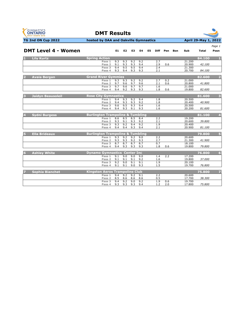



|  | Page 1 |  |
|--|--------|--|

| <b>DMT Level 4 - Women</b>    |                                                 | E1         | E2         | E3         | E4         | E5 |                  | Diff Pen Bon | Sub              | <b>Total</b> | Posn                    |
|-------------------------------|-------------------------------------------------|------------|------------|------------|------------|----|------------------|--------------|------------------|--------------|-------------------------|
| <b>Lily Kurtz</b>             | <b>Spring Action</b>                            |            |            |            |            |    |                  |              |                  | 84.100       |                         |
|                               | Pass 1<br>Pass <sub>2</sub>                     | 9.3<br>9.1 | 9.3<br>9.3 | 9.2<br>9.3 | 9.2<br>9.4 |    | 2.7<br>2.9       | 0.6          | 21.200<br>20.900 | 42.100       |                         |
|                               | Pass <sub>3</sub>                               | 9.4        | 9.5        | 9.5        | 9.4        |    | 2.4              |              | 21.300           |              |                         |
|                               | Pass 4                                          | 9.3        | 9.4        | 9.3        | 9.3        |    | 2.1              |              | 20.700           | 84.100       |                         |
| <b>Avaia Bergan</b>           | <b>Grand River Gymmies</b>                      |            |            |            |            |    |                  |              |                  | 82.600       | $\overline{2}$          |
|                               | Pass 1                                          | 9.3        | 9.3        | 9.2        | 9.2        |    | 2.7              | 0.2          | 21.000           |              |                         |
|                               | Pass <sub>2</sub><br>Pass 3                     | 9.7<br>9.7 | 9.6<br>9.6 | 9.7<br>9.7 | 9.6<br>9.7 |    | 2.1<br>1.6       | 0.6          | 20.800<br>21.000 | 41.800       |                         |
|                               | Pass 4                                          | 9.4        | 9.2        | 9.3        | 9.3        |    | 1.8              | 0.6          | 19.800           | 82.600       |                         |
| з<br><b>Jaidyn Beausoleil</b> | <b>Rose City Gymnastics</b>                     |            |            |            |            |    |                  |              |                  | 81.600       | $\overline{\mathbf{3}}$ |
|                               | Pass 1                                          | 9.4        | 9.3        | 9.2        | 9.4        |    | 1.8              |              | 20.500           |              |                         |
|                               | Pass <sub>2</sub>                               | 9.4        | 9.3        | 9.3        | 9.2        |    | 1.8              |              | 20.400           | 40.900       |                         |
|                               | Pass 3                                          | 9.6        | 9.5        | 9.3        | 9.4        |    | $1.\overline{6}$ |              | 20.500           |              |                         |
|                               | Pass 4                                          | 9.4        | 9.3        | 9.1        | 9.3        |    | 1.6              |              | 20.200           | 81.600       |                         |
| <b>Sydni Burgess</b>          | <b>Burlington Trampoline &amp; Tumbling</b>     |            |            |            |            |    |                  |              |                  | 81.100       | $\overline{4}$          |
|                               | Pass 1                                          | 8.6        | 8.5        | 8.5        | 8.4        |    | 2.2              |              | 19.200           | 39.800       |                         |
|                               | Pass <sub>2</sub><br>Pass <sub>3</sub>          | 9.3<br>9.3 | 9.1<br>9.2 | 9.3<br>9.4 | 9.2<br>9.2 |    | 2.1<br>1.9       |              | 20.600<br>20,400 |              |                         |
|                               | Pass 4                                          | 9.4        | 9.4        | 9.3        | 9.4        |    | 2.1              |              | 20.900           | 81.100       |                         |
| <b>Ella Brideaux</b>          | <b>Burlington Trampoline &amp; Tumbling</b>     |            |            |            |            |    |                  |              |                  | 79.800       | $\overline{5}$          |
|                               | Pass 1                                          | 9.3        | 9.2        | 9.2        | 9.0        |    | 2.2              |              | 20.600           |              |                         |
|                               | Pass 2                                          | 9.3        | 9.3        | 9.2        | 9.3        |    | 2.7              |              | 21.300           | 41.900       |                         |
|                               | Pass 3                                          | 8.7        | 8.7        | 8.7        | 8.7        |    | 0.7              |              | 18.100           |              |                         |
|                               | Pass 4                                          | 9.4        | 9.3        | 9.3        | 9.3        |    | 1.8              | 0.6          | 19.800           | 79.800       |                         |
| <b>Ashley White</b><br>6      | <b>Dynamo Gymnastics Center Inc</b>             |            |            |            |            |    |                  |              |                  | 76.800       | 6                       |
|                               | Pass 1                                          | 9.1        | 9.0        | 9.0        | 9.0        |    | 1.4              | 2.2          | 17.200           |              |                         |
|                               | Pass <sub>2</sub><br>Pass <sub>3</sub>          | 9.1<br>9.2 | 9.1<br>9.0 | 9.1<br>9.1 | 9.2<br>9.1 |    | 1.6<br>1.9       |              | 19.800<br>20.100 | 37.000       |                         |
|                               | Pass 4                                          | 9.1        | 9.1        | 9.0        | 9.3        |    | 1.5              |              | 19.700           | 76.800       |                         |
|                               |                                                 |            |            |            |            |    |                  |              |                  |              |                         |
| Sophia Bianchet               | <b>Kingston Aeros Trampoline Club</b><br>Pass 1 | 9.4        | 9.2        | 9.2        | 9.1        |    | 2.2              |              | 20,600           | 75.800       | $\overline{7}$          |
|                               | Pass 2                                          | 8.5        | 8.6        | 8.6        | 8.6        |    | 0.5              |              | 17.700           | 38.300       |                         |
|                               | Pass 3                                          | 9.4        | 9.2        | 9.0        | 9.2        |    | 1.9              | 0.6          | 19.700           |              |                         |
|                               | Pass 4                                          | 9.3        | 9.3        | 9.3        | 9.4        |    | 1.2              | 2.0          | 17.800           | 75.800       |                         |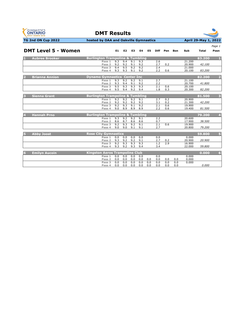



|                                                                                     |                                           |                |            |            |            |             |            |            |                  |              | Page 1                  |
|-------------------------------------------------------------------------------------|-------------------------------------------|----------------|------------|------------|------------|-------------|------------|------------|------------------|--------------|-------------------------|
| <b>DMT Level 5 - Women</b>                                                          | E <sub>1</sub>                            | E <sub>2</sub> | E3         | E4         | E5         | <b>Diff</b> | Pen        | <b>Bon</b> | Sub              | <b>Total</b> | Posn                    |
| <b>Burlington Trampoline &amp; Tumbling</b><br><b>Aubree Brooker</b>                |                                           |                |            |            |            |             |            |            |                  | 83.200       | $\mathbf{I}$            |
|                                                                                     | 9.3<br>Pass 1<br>9.2<br>Pass <sub>2</sub> | 9.4<br>9.2     | 9.1<br>9.1 | 9.3<br>9.2 |            | 2.6<br>2.7  | 0.2        |            | 21.200<br>20.900 | 42.100       |                         |
|                                                                                     | 9.4<br>Pass <sub>3</sub><br>9.3<br>Pass 4 | 9.5<br>9.3     | 9.2<br>9.1 | 9.2<br>9.2 |            | 2.4<br>2.2  | 0.6        |            | 21.000<br>20.100 | 83.200       |                         |
| <b>Dynamo Gymnastics Center Inc.</b><br><b>Brianna Annion</b>                       |                                           |                |            |            |            |             |            |            |                  | 82.200       | $\overline{\mathbf{2}}$ |
|                                                                                     | 9.3<br>Pass 1<br>9.3<br>Pass <sub>2</sub> | 9.2<br>9.4     | 9.2<br>9.1 | 9.1<br>9.2 |            | 2.7<br>2.2  |            |            | 21.100<br>20.700 | 41.800       |                         |
|                                                                                     | 9.5<br>Pass <sub>3</sub><br>9.5<br>Pass 4 | 9.3<br>9.4     | 9.3<br>9.2 | 9.3<br>9.4 |            | 2.1<br>1.8  | 0.6<br>0.3 |            | 20.100<br>20.300 | 82.200       |                         |
| B<br><b>Burlington Trampoline &amp; Tumbling</b><br><b>Sienna Grant</b>             |                                           |                |            |            |            |             |            |            |                  | 81.500       | 3                       |
|                                                                                     | 9.2<br>Pass 1<br>9.2<br>Pass <sub>2</sub> | 9.2<br>9.2     | 9.2<br>9.2 | 9.1<br>9.2 |            | 2.7<br>3.1  | 0.2<br>0.2 |            | 20,900<br>21.300 | 42.200       |                         |
|                                                                                     | 9.2<br>Pass <sub>3</sub><br>9.0<br>Pass 4 | 9.3<br>8.9     | 9.1<br>8.9 | 9.2<br>8.9 |            | 2.1<br>2.2  | 0.6<br>0.6 |            | 19.900<br>19.400 | 81.500       |                         |
| <b>Burlington Trampoline &amp; Tumbling</b><br><b>Hannah Prno</b><br>$\overline{A}$ |                                           |                |            |            |            |             |            |            |                  | 79.200       | 4                       |
|                                                                                     | 9.3<br>Pass 1<br>8.6<br>Pass <sub>2</sub> | 9.2<br>8.7     | 9.2<br>8.6 | 9.1<br>8.6 |            | 2.2<br>0.7  |            |            | 20.600<br>17.900 | 38.500       |                         |
|                                                                                     | 9.2<br>Pass 3<br>9.0<br>Pass 4            | 9.3<br>9.0     | 9.2<br>9.1 | 9.1<br>9.1 |            | 2.1<br>2.7  | 0.6        |            | 19.900<br>20,800 | 79.200       |                         |
| <b>Abby Joost</b><br><b>Rose City Gymnastics</b>                                    |                                           |                |            |            |            |             |            |            |                  | 59.800       | 5                       |
|                                                                                     | 0.0<br>Pass 1<br>9.3<br>Pass <sub>2</sub> | 0.0<br>9.2     | 0.0<br>9.2 | 0.0<br>9.1 |            | 0.0<br>2.7  | 0.2        |            | 0.000<br>20.900  | 20.900       |                         |
|                                                                                     | 9.2<br>Pass <sub>3</sub><br>9.3<br>Pass 4 | 9.3<br>9.2     | 9.3<br>9.3 | 9.3<br>9.4 |            | 1.2<br>3.4  | 2.9        |            | 16.900<br>22.000 | 59.800       |                         |
| <b>Kingston Aeros Trampoline Club</b><br><b>Emilyn Aucoin</b><br>$\overline{6}$     |                                           |                |            |            |            |             |            |            |                  | 0.000        | 6                       |
|                                                                                     | 0.0<br>Pass 1<br>0.0<br>Pass <sub>2</sub> | 0.0<br>0.0     | 0.0<br>0.0 | 0.0<br>0.0 | 0.0        | 0.0<br>0.0  | 0.0        | 0.0        | 0.000<br>0.000   |              |                         |
|                                                                                     | 0.0<br>Pass <sub>3</sub><br>0.0<br>Pass 4 | 0.0<br>0.0     | 0.0<br>0.0 | 0.0<br>0.0 | 0.0<br>0.0 | 0.0<br>0.0  | 0.0<br>0.0 | 0.0<br>0.0 | 0.000            | 0.000        |                         |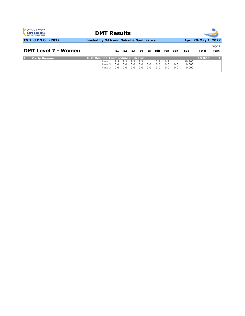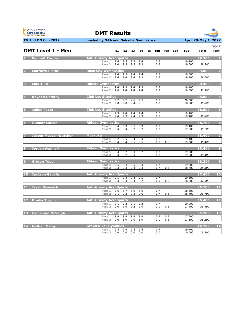| <b>GYMNASTICS</b><br><b>ONTARIO</b><br><b>SPORT STARTS HERE</b> |  |
|-----------------------------------------------------------------|--|
| 4 AN A                                                          |  |



|                | <b>DMT Level 1 - Men</b>     |                                          | E1 =       | E2                         | E3         | E4         | E5 |            | Diff Pen | <b>Bon</b> | Sub              | <b>Total</b> | Posn                     |
|----------------|------------------------------|------------------------------------------|------------|----------------------------|------------|------------|----|------------|----------|------------|------------------|--------------|--------------------------|
|                | <b>Emmett Turpin</b>         | <b>Anti-Gravity AcroSports</b>           |            |                            |            |            |    |            |          |            |                  | 39.300       |                          |
|                |                              | Pass 1                                   | 9.6        | 9.5                        | 9.5        | 9.4        |    | 0.7        |          |            | 19.700           |              |                          |
|                |                              | Pass <sub>2</sub>                        |            | 9.4 9.5                    | 9.5        | 9.3        |    | 0.7        |          |            | 19.600           | 39.300       |                          |
| $\overline{2}$ | <b>Matthew Clarke</b>        | <b>Rose City Gymnastics</b>              |            |                            |            |            |    |            |          |            |                  | 39.000       | $\overline{2}$           |
|                |                              | Pass 1<br>Pass <sub>2</sub>              | 9.4        | 9.5<br>9.4                 | 9.4<br>9.4 | 9.4<br>9.3 |    | 0.7<br>0.7 |          |            | 19.500<br>19.500 |              |                          |
|                |                              |                                          | 9.6        |                            |            |            |    |            |          |            |                  | 39.000       |                          |
|                | <b>Milo Turk</b>             | <b>Rideau Gymnastics</b>                 |            |                            |            |            |    |            |          |            |                  | 38.900       | $\overline{\mathbf{3}}$  |
|                |                              | Pass 1<br>Pass 2                         | 9.4<br>9.6 | 9.3<br>9.4                 | 9.4<br>9.4 | 9.3<br>9.4 |    | 0.7<br>0.7 |          |            | 19.400<br>19.500 | 38.900       |                          |
|                |                              |                                          |            |                            |            |            |    |            |          |            |                  |              |                          |
|                | <b>Kayden Gaffney</b>        | <b>Club Les Sittelles</b>                |            |                            |            |            |    |            |          |            |                  | 38,800       | $\overline{4}$           |
|                |                              | Pass 1<br>Pass <sub>2</sub>              | 9.7<br>9.0 | 9.7<br>9.0                 | 9.6<br>9.4 | 9.5<br>9.1 |    | 0.7<br>0.7 |          |            | 20.000<br>18.800 | 38.800       |                          |
|                |                              |                                          |            |                            |            |            |    |            |          |            |                  |              |                          |
|                | <b>Julien Fedor</b>          | <b>Club Les Sittelles</b><br>Pass 1      | 9.3        | 9.4                        | 9.4        | 9.4        |    | 0.6        |          |            | 19.400           | 38.800       | 5                        |
|                |                              | Pass 2                                   | 9.4        | 9.3                        | 9.4        | 9.3        |    | 0.7        |          |            | 19.400           | 38.800       |                          |
|                |                              | <b>Rideau Gymnastics</b>                 |            |                            |            |            |    |            |          |            |                  |              | 6                        |
|                | <b>Gunnar Larsen</b>         | Pass 1                                   | 9.4        | 9.3                        | 9.5        | 9.3        |    | 0.7        |          |            | 19,400           | 38.700       |                          |
|                |                              | Pass 2                                   | 9.4        | 9.4                        | 9.2        | 9.2        |    | 0.7        |          |            | 19.300           | 38.700       |                          |
|                | <b>Jasper McLean-Dutcher</b> | <b>Muskoka</b>                           |            |                            |            |            |    |            |          |            |                  | 38.400       | $\overline{7}$           |
|                |                              | Pass 1                                   | 9.2        | 9.5                        | 9.4        | 9.3        |    | 0.7        |          |            | 19.400           |              |                          |
|                |                              | Pass <sub>2</sub>                        | 9.4        | 9.4                        | 9.5        | 9.5        |    | 0.7        | 0.6      |            | 19.000           | 38.400       |                          |
|                | <b>Jordan Aspinall</b>       | <b>Rideau Gymnastics</b>                 |            |                            |            |            |    |            |          |            |                  | 38,400       | 8                        |
|                |                              | Pass 1                                   | 9.4        | 9.2                        | 9.3        | 9.2        |    | 0.7        |          |            | 19.200           |              |                          |
|                |                              | Pass <sub>2</sub>                        | 9.3        | 9.2                        | 9.3        | 9.1        |    | 0.7        |          |            | 19.200           | 38.400       |                          |
|                | <b>Gibson Tubb</b>           | <b>Rideau Gymnastics</b>                 |            |                            |            |            |    |            |          |            |                  | 38,300       | $\overline{9}$           |
|                |                              | Pass 1                                   | 9.5        | 9.4                        | 9.5        | 9.3        |    | 0.7        |          |            | 19.600           |              |                          |
|                |                              | Pass <sub>2</sub>                        | 9.3        | 9.3                        | 9.4        | 9.3        |    | 0.7        | 0.6      |            | 18.700           | 38.300       |                          |
|                | 10 Jackson Gauvin            | <b>Anti-Gravity AcroSports</b>           |            |                            |            |            |    |            |          |            |                  | 37.600       | 10                       |
|                |                              | Pass 1<br>Pass 2                         |            | $9.5$ $9.4$<br>$9.3$ $9.3$ | 9.4<br>9.4 | 9.5<br>9.2 |    | 0.7<br>0.0 | 0.6      |            | 19.600<br>18.000 | 37.600       |                          |
|                |                              |                                          |            |                            |            |            |    |            |          |            |                  |              |                          |
|                | 11 Isaac Dasovich            | <b>Anti-Gravity AcroSports</b>           |            |                            |            |            |    |            |          |            |                  | 36.700       | 11                       |
|                |                              | Pass 1<br>Pass <sub>2</sub>              | 8.6        | 8.7<br>$9.1$ $9.2$         | 8.9<br>9.3 | 8.9<br>9.0 |    | 0.7<br>0.7 | 0.6      |            | 18.300<br>18.400 | 36.700       |                          |
|                |                              |                                          |            |                            |            |            |    |            |          |            |                  |              |                          |
| 12             | <b>Brodie Turpin</b>         | <b>Anti-Gravity AcroSports</b>           |            |                            |            |            |    |            |          |            |                  | 36.400       | 12                       |
|                |                              | Pass 1<br>Pass 2                         | 9.1<br>9.0 | 9.2<br>9.0                 | 9.1<br>9.2 | 9.2<br>9.0 |    | 0.7<br>0.0 | 0.6      |            | 19.000<br>17.400 | 36.400       |                          |
|                |                              |                                          |            |                            |            |            |    |            |          |            |                  |              |                          |
| 13             | <b>Camerson McVeigh</b>      | <b>Anti-Gravity AcroSports</b><br>Pass 1 | 8.9        | 8.9                        | 8.9        | 8.9        |    | 0.7        | 0.6      |            | 17.900           | 35.200       | 13                       |
|                |                              | Pass <sub>2</sub>                        | 9.0        | 8.9                        | 9.0        | 8.9        |    | 0.0        | 0.6      |            | 17.300           | 35.200       |                          |
|                |                              |                                          |            |                            |            |            |    |            |          |            |                  |              |                          |
|                | 14 Nathan Maloy              | <b>Grand River Gymmies</b><br>Pass 1     | 9.5        | 9.4                        | 9.5        | 9.5        |    | 0.7        |          |            | 19.700           | 19.700       | $\overline{\mathbf{14}}$ |
|                |                              | Pass <sub>2</sub>                        | 0.0        | 0.0                        | 0.0        | 0.0        |    | 0.0        |          |            |                  | 0.000 19.700 |                          |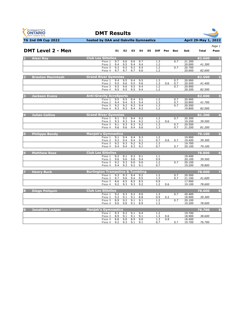



|  | .      |  |
|--|--------|--|
|  | Page 1 |  |

| <b>DMT Level 2 - Men</b> |                                             | E1         | E2         | E3         | E4         | E5 | Diff       | Pen        | Bon        | Sub              | <b>Total</b> | Posn                    |
|--------------------------|---------------------------------------------|------------|------------|------------|------------|----|------------|------------|------------|------------------|--------------|-------------------------|
| <b>Alexi Roy</b>         | <b>Club Les Sittelles</b>                   |            |            |            |            |    |            |            |            |                  | 82.600       | -1                      |
|                          | Pass 1                                      | 9.7<br>9.4 | 9.6        | 9.6<br>9.4 | 9.7<br>9.4 |    | 1.3        |            | 0.7        | 21.300<br>20.000 | 41.300       |                         |
|                          | Pass <sub>2</sub><br>Pass 3                 | 9.3        | 9.5<br>9.5 | 9.3        | 9.5        |    | 1.2<br>1.2 |            | 0.7        | 20.700           |              |                         |
|                          | Pass 4                                      | 9.7        | 9.7        | 9.7        | 9.6        |    | 1.2        |            |            | 20.600           | 82.600       |                         |
| <b>Braxton Macintosh</b> | <b>Grand River Gymmies</b>                  |            |            |            |            |    |            |            |            |                  | 82.500       | $\overline{2}$          |
|                          | Pass 1                                      | 9.4        | 9.5        | 9.4        | 9.5        |    | 1.3        |            | 0.7        | 20.900           |              |                         |
|                          | Pass <sub>2</sub><br>Pass 3                 | 9.5<br>9.5 | 9.6<br>9.6 | 9.5<br>9.5 | 9.6<br>9.4 |    | 1.3<br>1.2 | 0.6        | 0.7<br>0.7 | 20.500<br>20.900 | 41.400       |                         |
|                          | Pass 4                                      | 9.5        | 9.5        | 9.5        | 9.4        |    | 1.2        |            |            | 20.200           | 82.500       |                         |
| <b>Jackson Evans</b>     | <b>Anti-Gravity AcroSports</b>              |            |            |            |            |    |            |            |            |                  | 82.000       | $\overline{\mathbf{3}}$ |
|                          | Pass 1                                      | 9.5        | 9.5        | 9.4        | 9.5        |    | 1.2        |            | 0.7        | 20,900           |              |                         |
|                          | Pass <sub>2</sub><br>Pass <sub>3</sub>      | 9.4<br>9.2 | 9.4<br>9.2 | 9.3<br>9.3 | 9.4<br>9.4 |    | 1.3<br>1.3 |            | 0.7<br>0.7 | 20.800<br>20.500 | 41.700       |                         |
|                          | Pass 4                                      | 9.3        | 9.3        | 9.4        | 9.2        |    | 1.2        |            |            | 19.800           | 82.000       |                         |
| <b>Julian Collins</b>    | <b>Grand River Gymmies</b>                  |            |            |            |            |    |            |            |            |                  | 81.200       | $\overline{4}$          |
|                          | Pass 1                                      | 9.1        | 9.2        | 9.4        | 9.2        |    | 1.2        |            | 0.7        | 20.300           |              |                         |
|                          | Pass <sub>2</sub>                           | 9.3        | 9.3        | 9.4        | 9.2        |    | 1.2        | 0.6        |            | 19.200           | 39.500       |                         |
|                          | Pass 3<br>Pass 4                            | 9.1<br>9.6 | 9.3<br>9.6 | 9.3<br>9.4 | 9.2<br>9.6 |    | 1.3<br>1.3 |            | 0.7<br>0.7 | 20.500<br>21.200 | 81.200       |                         |
| <b>Philippe Bondy</b>    | <b>Manjak's Gymnastics</b>                  |            |            |            |            |    |            |            |            |                  | 79.100       | 5                       |
|                          | Pass 1                                      | 9.1        | 9.4        | 9.4        | 9.3        |    | 1.2        |            |            | 19.900           |              |                         |
|                          | Pass <sub>2</sub><br>Pass 3                 | 9.2<br>9.2 | 9.4<br>9.3 | 9.4<br>9.2 | 9.1<br>9.2 |    | 0.7<br>1.3 | 0.6        | 0.7        | 19.400<br>19.700 | 39.300       |                         |
|                          | Pass 4                                      | 9.4        | 9.4        | 9.3        | 9.1        |    | 0.7        |            | 0.7        | 20.100           | 79.100       |                         |
| <b>Matthew Ross</b>      | <b>Club Les Sittelles</b>                   |            |            |            |            |    |            |            |            |                  | 78,800       | $6\phantom{1}6$         |
|                          | Pass 1                                      | 9.2        | 9.1        | 9.3        | 9.1        |    | 1.1        |            |            | 19.400           |              |                         |
|                          | Pass <sub>2</sub><br>Pass 3                 | 9.6<br>9.2 | 9.6<br>9.3 | 9.6<br>9.0 | 9.4<br>9.0 |    | 0.9<br>1.2 |            | 0.7        | 20.100<br>20.100 | 39.500       |                         |
|                          | Pass 4                                      | 9.4        | 9.3        | 9.2        | 9.1        |    | 0.7        |            |            | 19.200           | 78.800       |                         |
| <b>Henry Buck</b>        | <b>Burlington Trampoline &amp; Tumbling</b> |            |            |            |            |    |            |            |            |                  | 78.600       | 7                       |
|                          | Pass 1                                      | 9.3        | 9.3        | 9.4        | 9.2        |    | 1.2        |            | 0.7        | 20.500           |              |                         |
|                          | Pass <sub>2</sub><br>Pass 3                 | 9.7<br>8.6 | 9.6<br>8.5 | 9.4<br>8.5 | 9.5<br>8.5 |    | 1.3<br>0.9 |            | 0.7        | 21.100<br>17.900 | 41.600       |                         |
|                          | Pass 4                                      | 9.2        | 9.3        | 9.3        | 9.2        |    | 1.2        | 0.6        |            | 19.100           | 78.600       |                         |
| <b>Diego Poliquin</b>    | <b>Club Les Sittelles</b>                   |            |            |            |            |    |            |            |            |                  | 78.600       | 8                       |
|                          | Pass 1                                      | 9.2        | 9.3        | 9.2        | 9.0        |    | 1.3        |            | 0.7        | 20.400           |              |                         |
|                          | Pass <sub>2</sub><br>Pass 3                 | 9.2<br>8.9 | 9.1<br>9.2 | 9.1<br>9.1 | 8.8<br>9.1 |    | 0.9<br>1.2 | 0.2        | 0.7        | 18.900<br>20.100 | 39.300       |                         |
|                          | Pass 4                                      | 9.0        | 9.0        | 9.1        | 8.9        |    | 1.2        |            |            | 19.200           | 78.600       |                         |
| <b>Jonathan Leaper</b>   | <b>Manjak's Gymnastics</b>                  |            |            |            |            |    |            |            |            |                  | 76.700       | $\boldsymbol{9}$        |
|                          | Pass 1                                      | 9.3        | 9.2        | 9.1        | 9.4        |    | 1.2        |            |            | 19.700           |              |                         |
|                          | Pass <sub>2</sub><br>Pass 3                 | 8.9<br>8.8 | 9.1<br>9.0 | 9.1<br>8.9 | 9.1<br>9.0 |    | 1.3<br>1.3 | 0.6<br>0.8 |            | 18.900<br>18.400 | 38.600       |                         |
|                          | Pass 4                                      | 9.2        | 9.3        | 9.1        | 9.1        |    | 0.7        |            | 0.7        | 19.700           | 76.700       |                         |
|                          |                                             |            |            |            |            |    |            |            |            |                  |              |                         |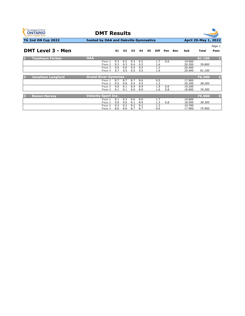

**DMT Results**



|                               |                            |     |                |     |     |    |             |     |     |        |        | Page 1                  |
|-------------------------------|----------------------------|-----|----------------|-----|-----|----|-------------|-----|-----|--------|--------|-------------------------|
| <b>DMT Level 3 - Men</b>      |                            | E1  | E <sub>2</sub> | E3  | E4  | E5 | <b>Diff</b> | Pen | Bon | Sub    | Total  | Posn                    |
| <b>Tayshaun Forbes</b><br>D.  | <b>OAA</b>                 |     |                |     |     |    |             |     |     |        | 81.100 | Ш                       |
|                               | Pass 1                     | 9.3 | 9.2            | 9.3 | 9.2 |    | 1.7         | 0.6 |     | 19.600 |        |                         |
|                               | Pass 2                     | 9.3 | 9.3            | 9.4 | 9.3 |    | 1.6         |     |     | 20,200 | 39.800 |                         |
|                               | Pass 3                     | 9.6 | 9.6            | 9.5 | 9.5 |    | 1.3         |     |     | 20,400 |        |                         |
|                               | Pass 4                     | 9.7 | 9.5            | 9.5 | 9.5 |    | 1.9         |     |     | 20,900 | 81.100 |                         |
|                               |                            |     |                |     |     |    |             |     |     |        |        |                         |
| <b>Jonathan Langford</b><br>D | <b>Grand River Gymmies</b> |     |                |     |     |    |             |     |     |        | 76.300 | 2                       |
|                               | Pass 1                     | 8.7 | 8.7            | 8.7 | 8.6 |    | 0.5         |     |     | 17.900 |        |                         |
|                               | Pass <sub>2</sub>          | 9.5 | 9.6            | 9.4 | 9.5 |    | 1.3         |     |     | 20.300 | 38.200 |                         |
|                               | Pass 3                     | 9.0 | 9.1            | 8.9 | 8.9 |    | 1.9         | 0.6 |     | 19.200 |        |                         |
|                               | Pass 4                     | 9.1 | 9.1            | 9.0 | 8.9 |    | 1.6         | 0.8 |     | 18,900 | 76.300 |                         |
|                               |                            |     |                |     |     |    |             |     |     |        |        |                         |
| B<br><b>Ronan Harvey</b>      | <b>Velocity Sport Inc.</b> |     |                |     |     |    |             |     |     |        | 75.900 | $\overline{\mathbf{3}}$ |
|                               | Pass 1                     | 9.1 | 9.3            | 9.0 | 9.0 |    | 1.7         |     |     | 19.800 |        |                         |
|                               | Pass 2                     | 9.0 | 9.0            | 9.1 | 8.9 |    | 1.3         | 0.8 |     | 18.500 | 38.300 |                         |
|                               | Pass 3                     | 9.2 | 9.2            | 9.2 | 9.2 |    | 1.3         |     |     | 19.700 |        |                         |
|                               | Pass 4                     | 8.6 | 8.6            | 8.7 | 8.7 |    | 0.6         |     |     | 17.900 | 75.900 |                         |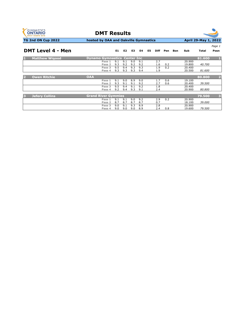

**DMT Results**



|                             |                                      |            |                |            |            |    |             |            |     |                  |        | Page 1         |
|-----------------------------|--------------------------------------|------------|----------------|------------|------------|----|-------------|------------|-----|------------------|--------|----------------|
| <b>DMT Level 4 - Men</b>    |                                      | E1         | E <sub>2</sub> | E3         | E4         | E5 | <b>Diff</b> | Pen        | Bon | Sub              | Total  | Posn           |
| <b>Matthew Wigood</b><br>ш. | <b>Dynamo Gymnastics Center Inc.</b> |            |                |            |            |    |             |            |     |                  | 81.600 |                |
|                             | Pass 1<br>Pass 2                     | 9.1<br>9.3 | 9.1<br>9.2     | 9.0<br>9.2 | 9.1<br>9.2 |    | 2.7<br>1.6  | 0.2        |     | 20,900<br>19.800 | 40.700 |                |
|                             | Pass 3<br>Pass 4                     | 9.5<br>9.3 | 9.4<br>9.3     | 9.3<br>9.3 | 9.3<br>9.4 |    | 1.9<br>1.9  | 0.2        |     | 20,400<br>20.500 | 81.600 |                |
|                             |                                      |            |                |            |            |    |             |            |     |                  |        |                |
| <b>Owen Ritchie</b><br>D.   | <b>OAA</b>                           |            |                |            |            |    |             |            |     |                  | 80.800 | $\overline{2}$ |
|                             | Pass 1<br>Pass <sub>2</sub>          | 9.1<br>9.3 | 9.0<br>9.1     | 8.9<br>9.1 | 9.0<br>9.2 |    | 1.7<br>2.7  | 0.6<br>0.6 |     | 19.100<br>20,400 | 39.500 |                |
|                             | Pass 3                               | 9.5        | 9.4            | 9.1        | 9.2        |    | 1.8         |            |     | 20,400           |        |                |
|                             | Pass 4                               | 9.2        | 9.4            | 9.3        | 9.1        |    | 2.4         |            |     | 20,900           | 80.800 |                |
| <b>Jefery Collins</b><br>B  | <b>Grand River Gymmies</b>           |            |                |            |            |    |             |            |     |                  | 79.500 | 3              |
|                             | Pass 1<br>Pass <sub>2</sub>          | 9.1<br>8.7 | 9.1<br>8.7     | 9.0<br>8.7 | 9.2<br>8.7 |    | 2.9<br>0.7  | 0.2        |     | 20,900<br>18.100 | 39.000 |                |
|                             | Pass 3                               | 9.0        | 9.1            | 9.3        | 8.9        |    | 2.8         |            |     | 20,900           |        |                |
|                             | Pass 4                               | 9.0        | 9.0            | 9.0        | 8.9        |    | 2.4         | 0.8        |     | 19.600           | 79.500 |                |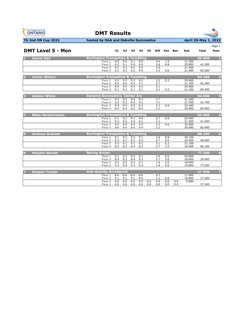

**DMT Results**



|                                            |                                             |            |                |            |            |     |            |            |            |                  |        | Page 1         |
|--------------------------------------------|---------------------------------------------|------------|----------------|------------|------------|-----|------------|------------|------------|------------------|--------|----------------|
| <b>DMT Level 5 - Men</b>                   |                                             | E1         | E <sub>2</sub> | E3         | E4         | E5  |            | Diff Pen   | <b>Bon</b> | Sub              | Total  | Posn           |
| <b>Xavier Bair</b>                         | <b>Burlington Trampoline &amp; Tumbling</b> |            |                |            |            |     |            |            |            |                  | 85.000 |                |
|                                            | Pass 1                                      | 8.9        | 9.0            | 9.1        | 8.9        |     | 4.4        | 1.0        |            | 21.300           |        |                |
|                                            | Pass <sub>2</sub>                           | 9.2        | 9.1            | 9.0        | 9.0        |     | 3.6        | 0.8        |            | 20.900           | 42.200 |                |
|                                            | Pass <sub>3</sub>                           | 9.2        | 9.3            | 9.2        | 9.2        |     | 3.0        |            |            | 21.400           |        |                |
|                                            | Pass 4                                      | 9.1        | 9.3            | 9.3        | 9.4        |     | 3.4        | 0.6        |            | 21.400           | 85.000 |                |
| 2<br><b>Carter Wilson</b>                  | <b>Burlington Trampoline &amp; Tumbling</b> |            |                |            |            |     |            |            |            |                  | 84.300 | $\overline{2}$ |
|                                            | Pass 1                                      | 9.3        | 9.3            | 9.3        | 9.2        |     | 2.2        | 0.2        |            | 20.600           |        |                |
|                                            | Pass 2                                      | 9.5        | 9.6            | 9.5        | 9.1        |     | 2.7        |            |            | 21.700           | 42.300 |                |
|                                            | Pass <sub>3</sub>                           | 9.4        | 9.5            | 9.4        | 9.3        |     | 2.1        |            |            | 20,900           |        |                |
|                                            | Pass 4                                      | 9.1        | 9.2            | 9.1        | 9.1        |     | 3.1        | 0.2        |            | 21.100           | 84.300 |                |
| Б<br><b>Ashton White</b>                   | <b>Dynamo Gymnastics Center Inc.</b>        |            |                |            |            |     |            |            |            |                  | 84.000 | 3              |
|                                            | Pass 1                                      | 9.3        | 9.2            | 9.4        | 9.2        |     | 2.7        |            |            | 21.200           |        |                |
|                                            | Pass 2                                      | 9.2        | 9.2            | 9.2        | 9.1        |     | 3.1        |            |            | 21.500           | 42.700 |                |
|                                            | Pass 3                                      | 9.4        | 9.5            | 9.5        | 9.2        |     | 2.1        | 0.6        |            | 20,400           |        |                |
|                                            | Pass 4                                      | 9.4        | 9.4            | 9.2        | 9.4        |     | 2.1        |            |            | 20.900           | 84.000 |                |
| $\overline{4}$<br><b>Maks Skripnicenko</b> | <b>Burlington Trampoline &amp; Tumbling</b> |            |                |            |            |     |            |            |            |                  | 82.900 | $\overline{4}$ |
|                                            | Pass 1                                      | 9.1        | 9.2            | 9.1        | 9.0        |     | 2.7        | 0.9        |            | 20,000           |        |                |
|                                            | Pass 2                                      | 9.2        | 9.2            | 9.2        | 9.1        |     | 3.1        |            |            | 21.500           | 41.500 |                |
|                                            | Pass <sub>3</sub>                           | 9.5        | 9.5            | 9.4        | 9.3        |     | 2.2        | 0.6        |            | 20.500           |        |                |
|                                            | Pass 4                                      | 9.6        | 9.4            | 9.4        | 9.4        |     | 2.1        |            |            | 20.900           | 82.900 |                |
| <b>Andrew Graham</b>                       | <b>Burlington Trampoline &amp; Tumbling</b> |            |                |            |            |     |            |            |            |                  | 80.100 | 5              |
|                                            | Pass 1                                      | 9.1        | 9.2            | 9.2        | 9.1        |     | 2.6        | 0.8        |            | 20.100           |        |                |
|                                            | Pass 2                                      | 9.3        | 9.2            | 9.2        | 9.2        |     | 2.7        | 0.6        |            | 20.500           | 40.600 |                |
|                                            | Pass 3                                      | 9.3        | 9.1            | 9.1        | 9.1        |     | 3.1        | 0.2        |            | 21.100           |        |                |
|                                            | Pass 4                                      | 8.5        | 8.3            | 8.4        | 8.3        |     | 2.7        | 1.0        |            | 18,400           | 80.100 |                |
|                                            |                                             |            |                |            |            |     |            |            |            |                  |        | 6              |
| <b>Havden Hewitt</b>                       | <b>Spring Action</b>                        |            |                |            |            |     |            |            |            |                  | 77.200 |                |
|                                            | Pass 1                                      | 9.1        | 9.2<br>8.3     | 9.2<br>8.4 | 9.1<br>8.3 |     | 2.9        | 0.6        |            | 20,600<br>18.800 | 39.400 |                |
|                                            | Pass <sub>2</sub><br>Pass <sub>3</sub>      | 8.4<br>9.2 | 9.2            | 9.2        | 9.1        |     | 2.7<br>1.6 | 0.6<br>2.0 |            | 18.000           |        |                |
|                                            | Pass 4                                      | 9.3        | 9.5            | 9.3        | 9.3        |     | 1.8        | 0.6        |            | 19.800           | 77.200 |                |
|                                            |                                             |            |                |            |            |     |            |            |            |                  |        |                |
| <b>Keegan Turpin</b>                       | <b>Anti-Gravity AcroSports</b>              |            |                |            |            |     |            |            |            |                  | 37.500 |                |
|                                            | Pass 1                                      | 8.6        | 8.6            | 8.6        | 8.6        |     | 0.7        |            |            | 17.900           |        |                |
|                                            | Pass <sub>2</sub>                           | 9.1        | 9.1            | 9.1        | 8.9        |     | 2.2        | 0.8        |            | 19.600           | 37.500 |                |
|                                            | Pass <sub>3</sub>                           | 0.0        | 0.0            | 0.0        | 0.0        | 0.0 | 0.0        | 0.0        | 0.0        | 0.000            |        |                |
|                                            | Pass 4                                      | 0.0        | 0.0            | 0.0        | 0.0        | 0.0 | 0.0        | 0.0        | 0.0        |                  | 37.500 |                |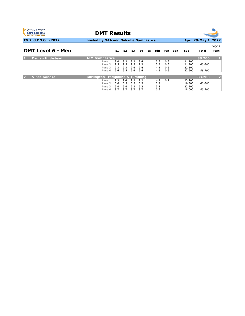

**DMT Results**



| <b>DMT Level 6 - Men</b> |                                             | E1  | E <sub>2</sub> | E3  | E4  | E5. | <b>Diff</b> | Pen | Bon | Sub    | Total  | rage 1<br>Posn |
|--------------------------|---------------------------------------------|-----|----------------|-----|-----|-----|-------------|-----|-----|--------|--------|----------------|
| <b>Declan Highstead</b>  | <b>AIM Gymnastics</b>                       |     |                |     |     |     |             |     |     |        | 88.700 |                |
|                          | Pass 1                                      | 9.4 | 9.3            | 9.3 | 9.4 |     | 3.6         | 0.6 |     | 21.700 |        |                |
|                          | Pass 2                                      | 9.5 | 9.5            | 9.5 | 9.3 |     | 3.5         | 0.6 |     | 21.900 | 43.600 |                |
|                          | Pass 3                                      | 9.3 | 9.3            | 9.4 | 9.4 |     | 4.4         | 0.6 |     | 22.500 |        |                |
|                          | Pass 4                                      | 9.6 | 9.5            | 9.4 | 9.4 |     | 4.3         | 0.6 |     | 22.600 | 88.700 |                |
|                          |                                             |     |                |     |     |     |             |     |     |        |        |                |
| <b>Vince Gandza</b>      | <b>Burlington Trampoline &amp; Tumbling</b> |     |                |     |     |     |             |     |     |        | 83.200 | D.             |
|                          | Pass 1                                      | 9.3 | 9.4            | 9.3 | 9.2 |     | 4.8         | 0.2 |     | 23,200 |        |                |
|                          | Pass <sub>2</sub>                           | 8.6 | 8.5            | 8.5 | 8.5 |     | 2.8         |     |     | 19,800 | 43.000 |                |
|                          | Pass 3                                      | 9.4 | 9.4            | 9.3 | 9.2 |     | 3.5         |     |     | 22,200 |        |                |
|                          | Pass 4                                      | 8.7 | 8.7            | 8.7 | 8.7 |     | 0.6         |     |     | 18.000 | 83.200 |                |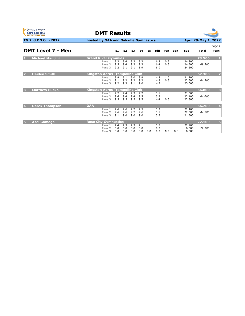



| <b>DMT Level 7 - Men</b>    |                                       |     |                |     |     |     |             |     |            |        |        | Page 1 |
|-----------------------------|---------------------------------------|-----|----------------|-----|-----|-----|-------------|-----|------------|--------|--------|--------|
|                             |                                       | E1  | E <sub>2</sub> | E3  | E4  | E5  | <b>Diff</b> | Pen | <b>Bon</b> | Sub    | Total  | Posn   |
| <b>Michael Mancini</b><br>п | <b>Grand River Gymmies</b>            |     |                |     |     |     |             |     |            |        | 73.500 | п      |
|                             | Pass 1                                | 9.3 | 9.4            | 9.3 | 9.2 |     | 6.8         | 0.6 |            | 24.800 |        |        |
|                             | Pass <sub>2</sub>                     | 9.5 | 9.4            | 9.3 | 9.3 |     | 6.4         | 0.6 |            | 24.500 | 49.300 |        |
|                             | Pass 3                                | 9.2 | 9.1            | 9.1 | 8.9 |     | 6.0         |     |            | 24.200 |        |        |
| <b>Haiden Smith</b>         | <b>Kingston Aeros Trampoline Club</b> |     |                |     |     |     |             |     |            |        | 67.300 | E      |
|                             | Pass 1                                | 8.9 | 9.1            | 9.0 | 8.9 |     | 4.8         | 1.0 |            | 21.700 |        |        |
|                             | Pass 2                                | 9.1 | 9.2            | 9.2 | 9.2 |     | 4.8         | 0.6 |            | 22.600 | 44.300 |        |
|                             | Pass 3                                | 9.2 | 9.3            | 9.1 | 9.0 |     | 4.7         |     |            | 23.000 |        |        |
| <b>Matthew Susko</b><br>B   | <b>Kingston Aeros Trampoline Club</b> |     |                |     |     |     |             |     |            |        | 66.800 | E      |
|                             | Pass 1                                | 9.2 | 9.4            | 9.3 | 9.2 |     | 3.1         |     |            | 21.600 |        |        |
|                             | Pass 2                                | 9.6 | 9.4            | 9.4 | 9.5 |     | 3.5         |     |            | 22.400 | 44.000 |        |
|                             | Pass 3                                | 9.5 | 9.5            | 9.5 | 9.5 |     | 4.4         | 0.6 |            | 22,800 |        |        |
| <b>Derek Thompson</b><br>14 | <b>OAA</b>                            |     |                |     |     |     |             |     |            |        | 66.200 | 4      |
|                             | Pass 1                                | 9.6 | 9.6            | 9.7 | 9.5 |     | 3.2         |     |            | 22.400 |        |        |
|                             | Pass <sub>2</sub>                     | 9.6 | 9.6            | 9.7 | 9.6 |     | 3.1         |     |            | 22.300 | 44.700 |        |
|                             | Pass 3                                | 9.1 | 9.0            | 9.0 | 9.0 |     | 3.5         |     |            | 21.500 |        |        |
| <b>Asel Gamage</b><br>ы     | <b>Rose City Gymnastics</b>           |     |                |     |     |     |             |     |            |        | 22.100 | G      |
|                             | Pass 1                                | 9.4 | 9.3            | 9.3 | 9.1 |     | 3.5         |     |            | 22.100 |        |        |
|                             | Pass <sub>2</sub>                     | 0.0 | 0.0            | 0.0 | 0.0 |     | 0.0         |     |            | 0.000  | 22.100 |        |
|                             | Pass 3                                | 0.0 | 0.0            | 0.0 | 0.0 | 0.0 | 0.0         | 0.0 | 0.0        | 0.000  |        |        |